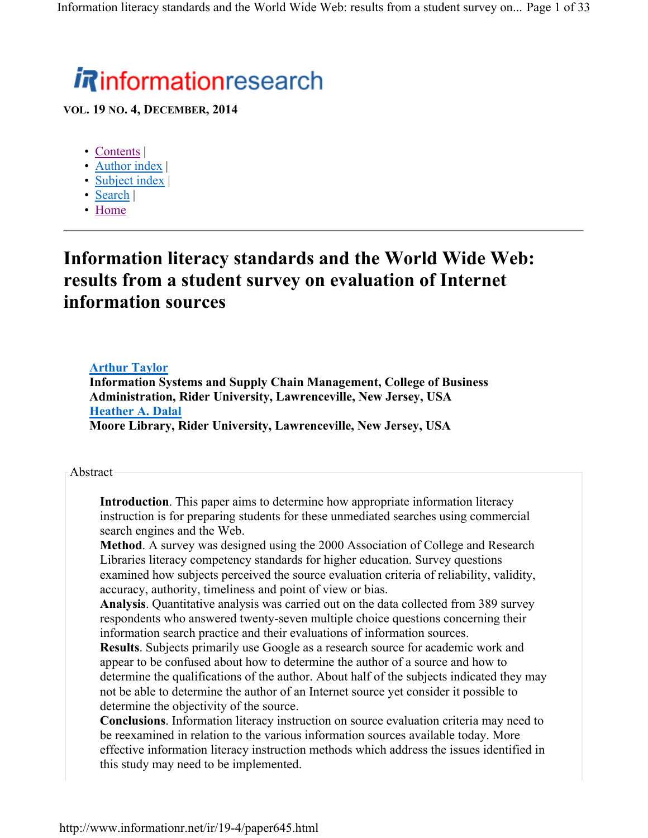# *i R*informationresearch

**VOL. 19 NO. 4, DECEMBER, 2014**

- Contents |
- Author index |
- Subject index |
- Search |
- Home

### **Information literacy standards and the World Wide Web: results from a student survey on evaluation of Internet information sources**

#### **Arthur Taylor**

**Information Systems and Supply Chain Management, College of Business Administration, Rider University, Lawrenceville, New Jersey, USA Heather A. Dalal Moore Library, Rider University, Lawrenceville, New Jersey, USA**

#### Abstract

**Introduction**. This paper aims to determine how appropriate information literacy instruction is for preparing students for these unmediated searches using commercial search engines and the Web.

**Method**. A survey was designed using the 2000 Association of College and Research Libraries literacy competency standards for higher education. Survey questions examined how subjects perceived the source evaluation criteria of reliability, validity, accuracy, authority, timeliness and point of view or bias.

**Analysis**. Quantitative analysis was carried out on the data collected from 389 survey respondents who answered twenty-seven multiple choice questions concerning their information search practice and their evaluations of information sources.

**Results**. Subjects primarily use Google as a research source for academic work and appear to be confused about how to determine the author of a source and how to determine the qualifications of the author. About half of the subjects indicated they may not be able to determine the author of an Internet source yet consider it possible to determine the objectivity of the source.

**Conclusions**. Information literacy instruction on source evaluation criteria may need to be reexamined in relation to the various information sources available today. More effective information literacy instruction methods which address the issues identified in this study may need to be implemented.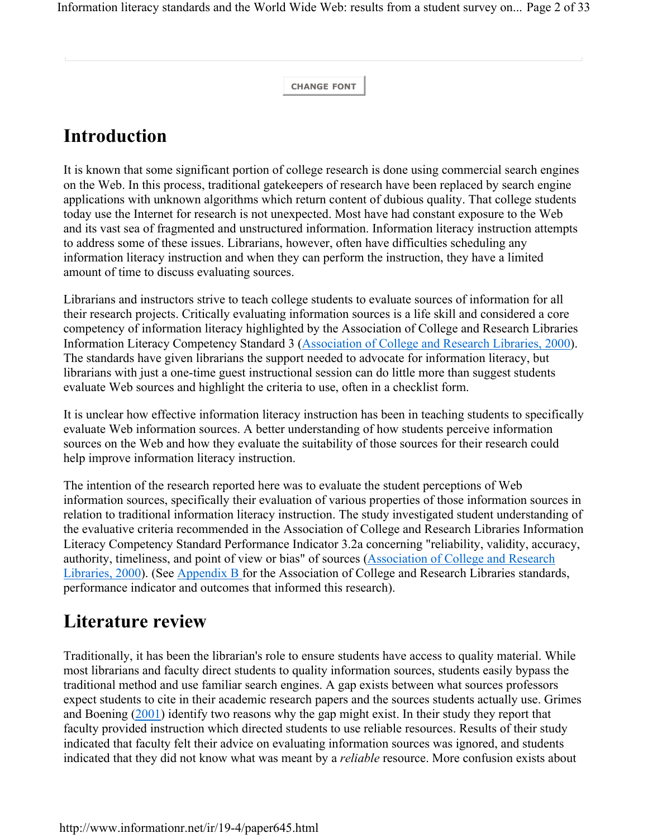**CHANGE FONT**

### **Introduction**

It is known that some significant portion of college research is done using commercial search engines on the Web. In this process, traditional gatekeepers of research have been replaced by search engine applications with unknown algorithms which return content of dubious quality. That college students today use the Internet for research is not unexpected. Most have had constant exposure to the Web and its vast sea of fragmented and unstructured information. Information literacy instruction attempts to address some of these issues. Librarians, however, often have difficulties scheduling any information literacy instruction and when they can perform the instruction, they have a limited amount of time to discuss evaluating sources.

Librarians and instructors strive to teach college students to evaluate sources of information for all their research projects. Critically evaluating information sources is a life skill and considered a core competency of information literacy highlighted by the Association of College and Research Libraries Information Literacy Competency Standard 3 (Association of College and Research Libraries, 2000). The standards have given librarians the support needed to advocate for information literacy, but librarians with just a one-time guest instructional session can do little more than suggest students evaluate Web sources and highlight the criteria to use, often in a checklist form.

It is unclear how effective information literacy instruction has been in teaching students to specifically evaluate Web information sources. A better understanding of how students perceive information sources on the Web and how they evaluate the suitability of those sources for their research could help improve information literacy instruction.

The intention of the research reported here was to evaluate the student perceptions of Web information sources, specifically their evaluation of various properties of those information sources in relation to traditional information literacy instruction. The study investigated student understanding of the evaluative criteria recommended in the Association of College and Research Libraries Information Literacy Competency Standard Performance Indicator 3.2a concerning "reliability, validity, accuracy, authority, timeliness, and point of view or bias" of sources (Association of College and Research Libraries, 2000). (See Appendix B for the Association of College and Research Libraries standards, performance indicator and outcomes that informed this research).

### **Literature review**

Traditionally, it has been the librarian's role to ensure students have access to quality material. While most librarians and faculty direct students to quality information sources, students easily bypass the traditional method and use familiar search engines. A gap exists between what sources professors expect students to cite in their academic research papers and the sources students actually use. Grimes and Boening (2001) identify two reasons why the gap might exist. In their study they report that faculty provided instruction which directed students to use reliable resources. Results of their study indicated that faculty felt their advice on evaluating information sources was ignored, and students indicated that they did not know what was meant by a *reliable* resource. More confusion exists about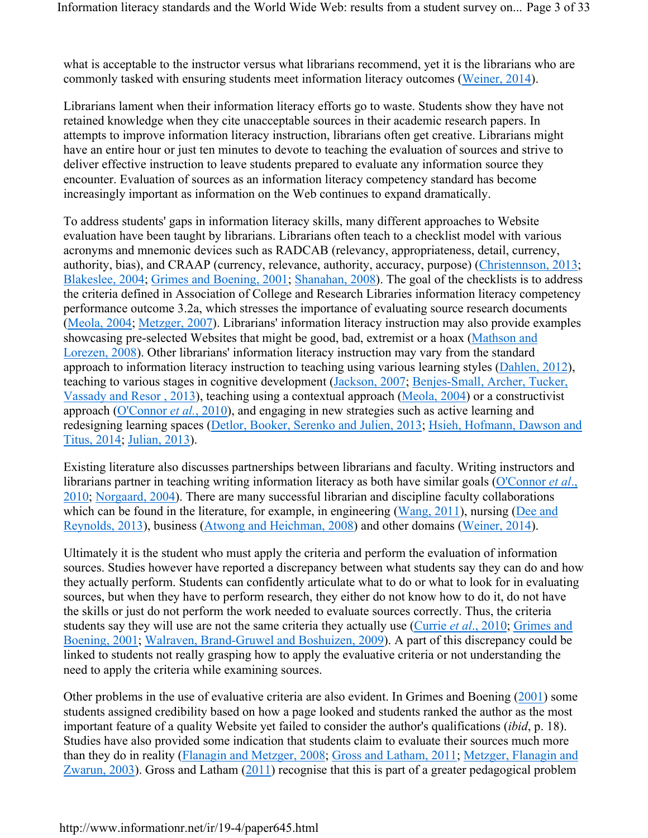what is acceptable to the instructor versus what librarians recommend, yet it is the librarians who are commonly tasked with ensuring students meet information literacy outcomes (Weiner, 2014).

Librarians lament when their information literacy efforts go to waste. Students show they have not retained knowledge when they cite unacceptable sources in their academic research papers. In attempts to improve information literacy instruction, librarians often get creative. Librarians might have an entire hour or just ten minutes to devote to teaching the evaluation of sources and strive to deliver effective instruction to leave students prepared to evaluate any information source they encounter. Evaluation of sources as an information literacy competency standard has become increasingly important as information on the Web continues to expand dramatically.

To address students' gaps in information literacy skills, many different approaches to Website evaluation have been taught by librarians. Librarians often teach to a checklist model with various acronyms and mnemonic devices such as RADCAB (relevancy, appropriateness, detail, currency, authority, bias), and CRAAP (currency, relevance, authority, accuracy, purpose) (Christennson, 2013; Blakeslee, 2004; Grimes and Boening, 2001; Shanahan, 2008). The goal of the checklists is to address the criteria defined in Association of College and Research Libraries information literacy competency performance outcome 3.2a, which stresses the importance of evaluating source research documents (Meola, 2004; Metzger, 2007). Librarians' information literacy instruction may also provide examples showcasing pre-selected Websites that might be good, bad, extremist or a hoax (Mathson and Lorezen, 2008). Other librarians' information literacy instruction may vary from the standard approach to information literacy instruction to teaching using various learning styles (Dahlen, 2012), teaching to various stages in cognitive development (Jackson, 2007; Benjes-Small, Archer, Tucker, Vassady and Resor , 2013), teaching using a contextual approach (Meola, 2004) or a constructivist approach (O'Connor *et al.*, 2010), and engaging in new strategies such as active learning and redesigning learning spaces (Detlor, Booker, Serenko and Julien, 2013; Hsieh, Hofmann, Dawson and Titus, 2014; Julian, 2013).

Existing literature also discusses partnerships between librarians and faculty. Writing instructors and librarians partner in teaching writing information literacy as both have similar goals (O'Connor *et al*., 2010; Norgaard, 2004). There are many successful librarian and discipline faculty collaborations which can be found in the literature, for example, in engineering (Wang, 2011), nursing (Dee and Reynolds, 2013), business (Atwong and Heichman, 2008) and other domains (Weiner, 2014).

Ultimately it is the student who must apply the criteria and perform the evaluation of information sources. Studies however have reported a discrepancy between what students say they can do and how they actually perform. Students can confidently articulate what to do or what to look for in evaluating sources, but when they have to perform research, they either do not know how to do it, do not have the skills or just do not perform the work needed to evaluate sources correctly. Thus, the criteria students say they will use are not the same criteria they actually use (Currie *et al*., 2010; Grimes and Boening, 2001; Walraven, Brand-Gruwel and Boshuizen, 2009). A part of this discrepancy could be linked to students not really grasping how to apply the evaluative criteria or not understanding the need to apply the criteria while examining sources.

Other problems in the use of evaluative criteria are also evident. In Grimes and Boening (2001) some students assigned credibility based on how a page looked and students ranked the author as the most important feature of a quality Website yet failed to consider the author's qualifications (*ibid*, p. 18). Studies have also provided some indication that students claim to evaluate their sources much more than they do in reality (Flanagin and Metzger, 2008; Gross and Latham, 2011; Metzger, Flanagin and Zwarun, 2003). Gross and Latham (2011) recognise that this is part of a greater pedagogical problem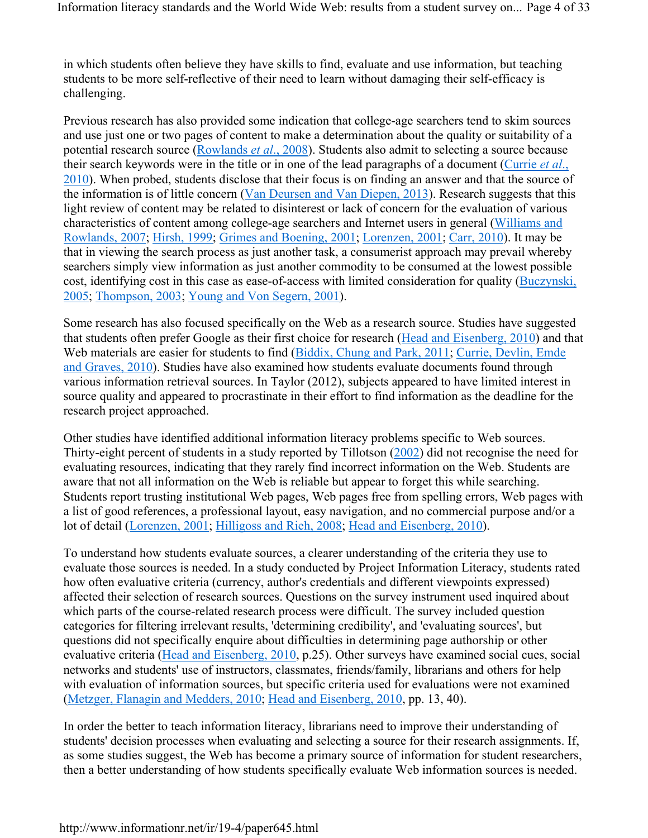in which students often believe they have skills to find, evaluate and use information, but teaching students to be more self-reflective of their need to learn without damaging their self-efficacy is challenging.

Previous research has also provided some indication that college-age searchers tend to skim sources and use just one or two pages of content to make a determination about the quality or suitability of a potential research source (Rowlands *et al*., 2008). Students also admit to selecting a source because their search keywords were in the title or in one of the lead paragraphs of a document (Currie *et al*., 2010). When probed, students disclose that their focus is on finding an answer and that the source of the information is of little concern (Van Deursen and Van Diepen, 2013). Research suggests that this light review of content may be related to disinterest or lack of concern for the evaluation of various characteristics of content among college-age searchers and Internet users in general (Williams and Rowlands, 2007; Hirsh, 1999; Grimes and Boening, 2001; Lorenzen, 2001; Carr, 2010). It may be that in viewing the search process as just another task, a consumerist approach may prevail whereby searchers simply view information as just another commodity to be consumed at the lowest possible cost, identifying cost in this case as ease-of-access with limited consideration for quality (Buczynski, 2005; Thompson, 2003; Young and Von Segern, 2001).

Some research has also focused specifically on the Web as a research source. Studies have suggested that students often prefer Google as their first choice for research (Head and Eisenberg, 2010) and that Web materials are easier for students to find (Biddix, Chung and Park, 2011; Currie, Devlin, Emde and Graves, 2010). Studies have also examined how students evaluate documents found through various information retrieval sources. In Taylor (2012), subjects appeared to have limited interest in source quality and appeared to procrastinate in their effort to find information as the deadline for the research project approached.

Other studies have identified additional information literacy problems specific to Web sources. Thirty-eight percent of students in a study reported by Tillotson (2002) did not recognise the need for evaluating resources, indicating that they rarely find incorrect information on the Web. Students are aware that not all information on the Web is reliable but appear to forget this while searching. Students report trusting institutional Web pages, Web pages free from spelling errors, Web pages with a list of good references, a professional layout, easy navigation, and no commercial purpose and/or a lot of detail (Lorenzen, 2001; Hilligoss and Rieh, 2008; Head and Eisenberg, 2010).

To understand how students evaluate sources, a clearer understanding of the criteria they use to evaluate those sources is needed. In a study conducted by Project Information Literacy, students rated how often evaluative criteria (currency, author's credentials and different viewpoints expressed) affected their selection of research sources. Questions on the survey instrument used inquired about which parts of the course-related research process were difficult. The survey included question categories for filtering irrelevant results, 'determining credibility', and 'evaluating sources', but questions did not specifically enquire about difficulties in determining page authorship or other evaluative criteria (Head and Eisenberg, 2010, p.25). Other surveys have examined social cues, social networks and students' use of instructors, classmates, friends/family, librarians and others for help with evaluation of information sources, but specific criteria used for evaluations were not examined (Metzger, Flanagin and Medders, 2010; Head and Eisenberg, 2010, pp. 13, 40).

In order the better to teach information literacy, librarians need to improve their understanding of students' decision processes when evaluating and selecting a source for their research assignments. If, as some studies suggest, the Web has become a primary source of information for student researchers, then a better understanding of how students specifically evaluate Web information sources is needed.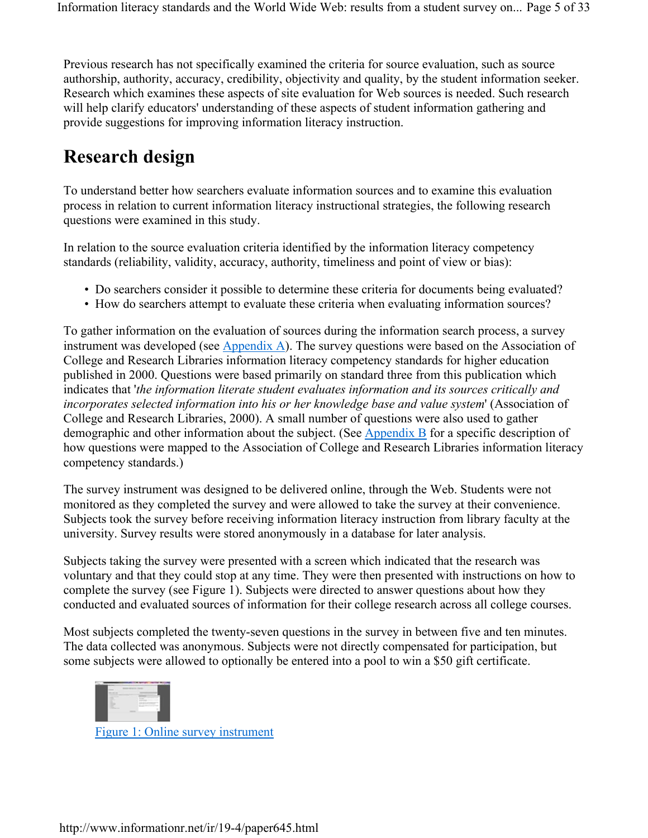Previous research has not specifically examined the criteria for source evaluation, such as source authorship, authority, accuracy, credibility, objectivity and quality, by the student information seeker. Research which examines these aspects of site evaluation for Web sources is needed. Such research will help clarify educators' understanding of these aspects of student information gathering and provide suggestions for improving information literacy instruction.

# **Research design**

To understand better how searchers evaluate information sources and to examine this evaluation process in relation to current information literacy instructional strategies, the following research questions were examined in this study.

In relation to the source evaluation criteria identified by the information literacy competency standards (reliability, validity, accuracy, authority, timeliness and point of view or bias):

- Do searchers consider it possible to determine these criteria for documents being evaluated?
- How do searchers attempt to evaluate these criteria when evaluating information sources?

To gather information on the evaluation of sources during the information search process, a survey instrument was developed (see Appendix A). The survey questions were based on the Association of College and Research Libraries information literacy competency standards for higher education published in 2000. Questions were based primarily on standard three from this publication which indicates that '*the information literate student evaluates information and its sources critically and incorporates selected information into his or her knowledge base and value system*' (Association of College and Research Libraries, 2000). A small number of questions were also used to gather demographic and other information about the subject. (See  $\Delta$ ppendix  $\overline{B}$  for a specific description of how questions were mapped to the Association of College and Research Libraries information literacy competency standards.)

The survey instrument was designed to be delivered online, through the Web. Students were not monitored as they completed the survey and were allowed to take the survey at their convenience. Subjects took the survey before receiving information literacy instruction from library faculty at the university. Survey results were stored anonymously in a database for later analysis.

Subjects taking the survey were presented with a screen which indicated that the research was voluntary and that they could stop at any time. They were then presented with instructions on how to complete the survey (see Figure 1). Subjects were directed to answer questions about how they conducted and evaluated sources of information for their college research across all college courses.

Most subjects completed the twenty-seven questions in the survey in between five and ten minutes. The data collected was anonymous. Subjects were not directly compensated for participation, but some subjects were allowed to optionally be entered into a pool to win a \$50 gift certificate.



Figure 1: Online survey instrument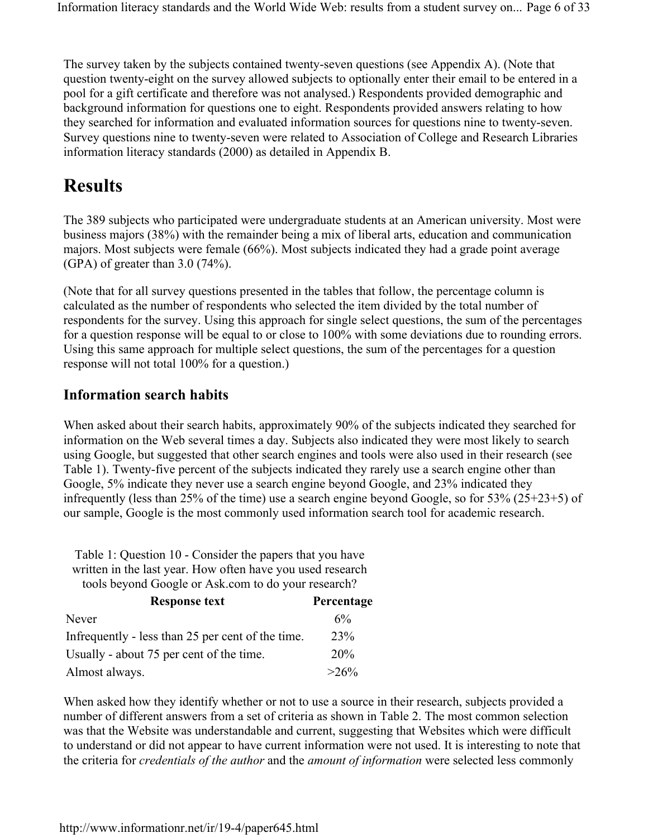The survey taken by the subjects contained twenty-seven questions (see Appendix A). (Note that question twenty-eight on the survey allowed subjects to optionally enter their email to be entered in a pool for a gift certificate and therefore was not analysed.) Respondents provided demographic and background information for questions one to eight. Respondents provided answers relating to how they searched for information and evaluated information sources for questions nine to twenty-seven. Survey questions nine to twenty-seven were related to Association of College and Research Libraries information literacy standards (2000) as detailed in Appendix B.

### **Results**

The 389 subjects who participated were undergraduate students at an American university. Most were business majors (38%) with the remainder being a mix of liberal arts, education and communication majors. Most subjects were female (66%). Most subjects indicated they had a grade point average (GPA) of greater than 3.0 (74%).

(Note that for all survey questions presented in the tables that follow, the percentage column is calculated as the number of respondents who selected the item divided by the total number of respondents for the survey. Using this approach for single select questions, the sum of the percentages for a question response will be equal to or close to 100% with some deviations due to rounding errors. Using this same approach for multiple select questions, the sum of the percentages for a question response will not total 100% for a question.)

### **Information search habits**

When asked about their search habits, approximately 90% of the subjects indicated they searched for information on the Web several times a day. Subjects also indicated they were most likely to search using Google, but suggested that other search engines and tools were also used in their research (see Table 1). Twenty-five percent of the subjects indicated they rarely use a search engine other than Google, 5% indicate they never use a search engine beyond Google, and 23% indicated they infrequently (less than 25% of the time) use a search engine beyond Google, so for 53% (25+23+5) of our sample, Google is the most commonly used information search tool for academic research.

Table 1: Question 10 - Consider the papers that you have written in the last year. How often have you used research tools beyond Google or Ask.com to do your research?

| <b>Response text</b>                              | Percentage |
|---------------------------------------------------|------------|
| Never                                             | 6%         |
| Infrequently - less than 25 per cent of the time. | 23%        |
| Usually - about 75 per cent of the time.          | 20%        |
| Almost always.                                    | $>26\%$    |

When asked how they identify whether or not to use a source in their research, subjects provided a number of different answers from a set of criteria as shown in Table 2. The most common selection was that the Website was understandable and current, suggesting that Websites which were difficult to understand or did not appear to have current information were not used. It is interesting to note that the criteria for *credentials of the author* and the *amount of information* were selected less commonly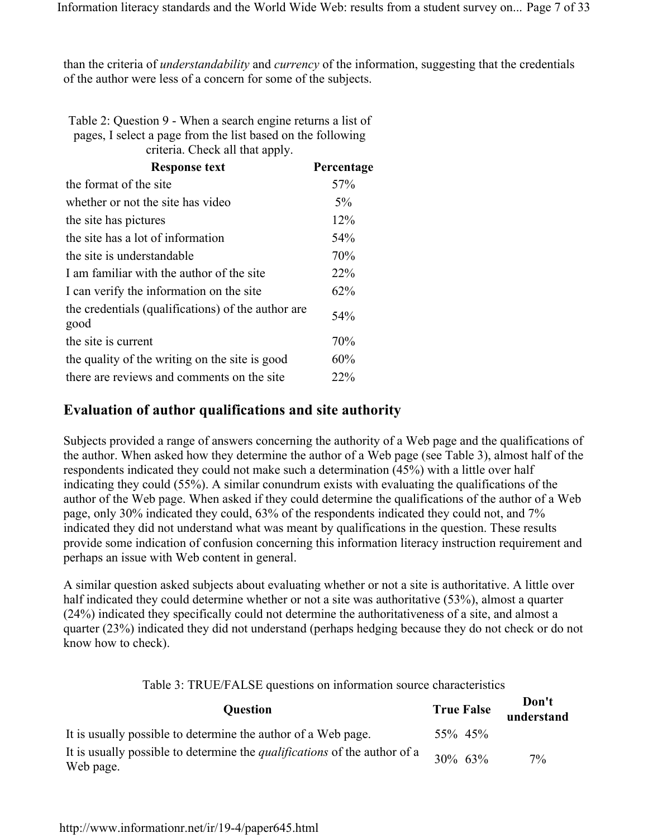than the criteria of *understandability* and *currency* of the information, suggesting that the credentials of the author were less of a concern for some of the subjects.

Table 2: Question 9 - When a search engine returns a list of pages, I select a page from the list based on the following criteria. Check all that apply.

| <b>Response text</b>                                       | Percentage        |
|------------------------------------------------------------|-------------------|
| the format of the site                                     | 57%               |
| whether or not the site has video                          | $5\%$             |
| the site has pictures                                      | 12%               |
| the site has a lot of information                          | 54%               |
| the site is understandable                                 | 70%               |
| I am familiar with the author of the site                  | 22%               |
| I can verify the information on the site                   | 62%               |
| the credentials (qualifications) of the author are<br>good | 54 <sup>o</sup> % |
| the site is current                                        | 70%               |
| the quality of the writing on the site is good             | 60%               |
| there are reviews and comments on the site                 | 22%               |

#### **Evaluation of author qualifications and site authority**

Subjects provided a range of answers concerning the authority of a Web page and the qualifications of the author. When asked how they determine the author of a Web page (see Table 3), almost half of the respondents indicated they could not make such a determination (45%) with a little over half indicating they could (55%). A similar conundrum exists with evaluating the qualifications of the author of the Web page. When asked if they could determine the qualifications of the author of a Web page, only 30% indicated they could, 63% of the respondents indicated they could not, and 7% indicated they did not understand what was meant by qualifications in the question. These results provide some indication of confusion concerning this information literacy instruction requirement and perhaps an issue with Web content in general.

A similar question asked subjects about evaluating whether or not a site is authoritative. A little over half indicated they could determine whether or not a site was authoritative (53%), almost a quarter (24%) indicated they specifically could not determine the authoritativeness of a site, and almost a quarter (23%) indicated they did not understand (perhaps hedging because they do not check or do not know how to check).

#### Table 3: TRUE/FALSE questions on information source characteristics

| <b>Question</b>                                                                               | <b>True False</b> | Don't<br>understand |
|-----------------------------------------------------------------------------------------------|-------------------|---------------------|
| It is usually possible to determine the author of a Web page.                                 | 55% 45%           |                     |
| It is usually possible to determine the <i>qualifications</i> of the author of a<br>Web page. | 30% 63%           | $7\%$               |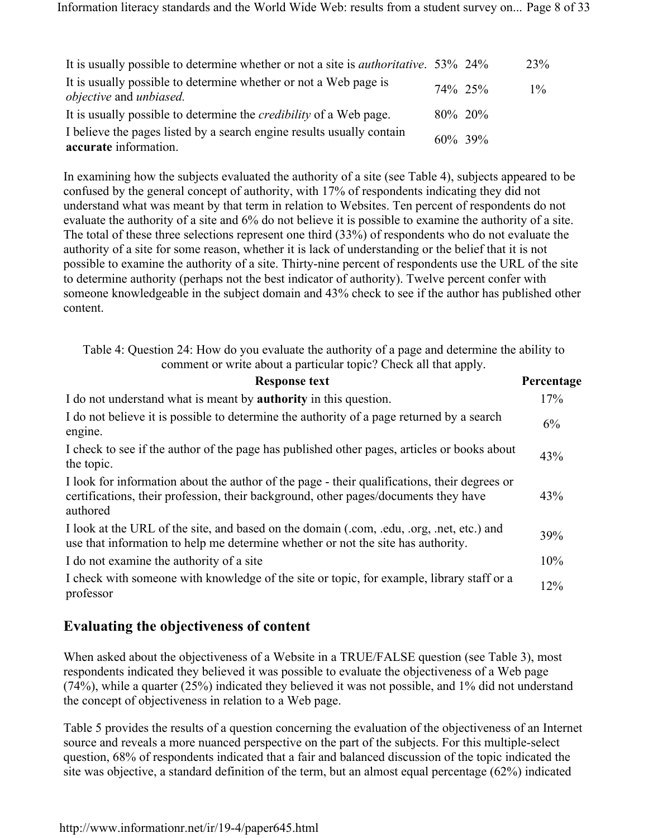| It is usually possible to determine whether or not a site is <i>authoritative</i> . 53% 24%                |            | 23\%  |
|------------------------------------------------------------------------------------------------------------|------------|-------|
| It is usually possible to determine whether or not a Web page is<br><i>objective</i> and <i>unbiased</i> . | 74\% 25\%  | $1\%$ |
| It is usually possible to determine the <i>credibility</i> of a Web page.                                  | 80\% 20\%  |       |
| I believe the pages listed by a search engine results usually contain<br>accurate information.             | $60\%$ 39% |       |

In examining how the subjects evaluated the authority of a site (see Table 4), subjects appeared to be confused by the general concept of authority, with 17% of respondents indicating they did not understand what was meant by that term in relation to Websites. Ten percent of respondents do not evaluate the authority of a site and 6% do not believe it is possible to examine the authority of a site. The total of these three selections represent one third (33%) of respondents who do not evaluate the authority of a site for some reason, whether it is lack of understanding or the belief that it is not possible to examine the authority of a site. Thirty-nine percent of respondents use the URL of the site to determine authority (perhaps not the best indicator of authority). Twelve percent confer with someone knowledgeable in the subject domain and 43% check to see if the author has published other content.

Table 4: Question 24: How do you evaluate the authority of a page and determine the ability to comment or write about a particular topic? Check all that apply.

| <b>Response text</b>                                                                                                                                                                            | Percentage |
|-------------------------------------------------------------------------------------------------------------------------------------------------------------------------------------------------|------------|
| I do not understand what is meant by <b>authority</b> in this question.                                                                                                                         | 17%        |
| I do not believe it is possible to determine the authority of a page returned by a search<br>engine.                                                                                            | 6%         |
| I check to see if the author of the page has published other pages, articles or books about<br>the topic.                                                                                       | 43%        |
| I look for information about the author of the page - their qualifications, their degrees or<br>certifications, their profession, their background, other pages/documents they have<br>authored | 43%        |
| I look at the URL of the site, and based on the domain (.com, .edu, .org, .net, etc.) and<br>use that information to help me determine whether or not the site has authority.                   | 39%        |
| I do not examine the authority of a site                                                                                                                                                        | 10%        |
| I check with someone with knowledge of the site or topic, for example, library staff or a<br>professor                                                                                          | 12%        |

#### **Evaluating the objectiveness of content**

When asked about the objectiveness of a Website in a TRUE/FALSE question (see Table 3), most respondents indicated they believed it was possible to evaluate the objectiveness of a Web page (74%), while a quarter (25%) indicated they believed it was not possible, and 1% did not understand the concept of objectiveness in relation to a Web page.

Table 5 provides the results of a question concerning the evaluation of the objectiveness of an Internet source and reveals a more nuanced perspective on the part of the subjects. For this multiple-select question, 68% of respondents indicated that a fair and balanced discussion of the topic indicated the site was objective, a standard definition of the term, but an almost equal percentage (62%) indicated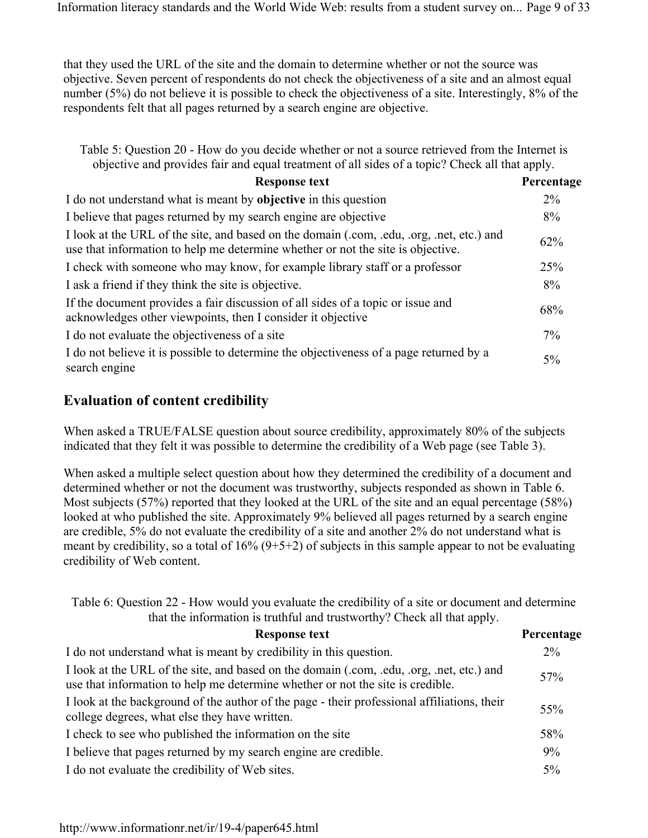that they used the URL of the site and the domain to determine whether or not the source was objective. Seven percent of respondents do not check the objectiveness of a site and an almost equal number (5%) do not believe it is possible to check the objectiveness of a site. Interestingly, 8% of the respondents felt that all pages returned by a search engine are objective.

Table 5: Question 20 - How do you decide whether or not a source retrieved from the Internet is objective and provides fair and equal treatment of all sides of a topic? Check all that apply.

| <b>Response text</b>                                                                                                                                                         | Percentage |
|------------------------------------------------------------------------------------------------------------------------------------------------------------------------------|------------|
| I do not understand what is meant by <b>objective</b> in this question                                                                                                       | $2\%$      |
| I believe that pages returned by my search engine are objective                                                                                                              | 8%         |
| I look at the URL of the site, and based on the domain (.com, .edu, .org, .net, etc.) and<br>use that information to help me determine whether or not the site is objective. | 62%        |
| I check with someone who may know, for example library staff or a professor                                                                                                  | 25%        |
| I ask a friend if they think the site is objective.                                                                                                                          | 8%         |
| If the document provides a fair discussion of all sides of a topic or issue and<br>acknowledges other viewpoints, then I consider it objective                               | 68%        |
| I do not evaluate the objectiveness of a site                                                                                                                                | $7\%$      |
| I do not believe it is possible to determine the objectiveness of a page returned by a<br>search engine                                                                      | $5\%$      |

### **Evaluation of content credibility**

When asked a TRUE/FALSE question about source credibility, approximately 80% of the subjects indicated that they felt it was possible to determine the credibility of a Web page (see Table 3).

When asked a multiple select question about how they determined the credibility of a document and determined whether or not the document was trustworthy, subjects responded as shown in Table 6. Most subjects (57%) reported that they looked at the URL of the site and an equal percentage (58%) looked at who published the site. Approximately 9% believed all pages returned by a search engine are credible, 5% do not evaluate the credibility of a site and another 2% do not understand what is meant by credibility, so a total of  $16\%$  (9+5+2) of subjects in this sample appear to not be evaluating credibility of Web content.

Table 6: Question 22 - How would you evaluate the credibility of a site or document and determine that the information is truthful and trustworthy? Check all that apply.

| <b>Response text</b>                                                                                                                                                        | Percentage |
|-----------------------------------------------------------------------------------------------------------------------------------------------------------------------------|------------|
| I do not understand what is meant by credibility in this question.                                                                                                          | $2\%$      |
| I look at the URL of the site, and based on the domain (.com, .edu, .org, .net, etc.) and<br>use that information to help me determine whether or not the site is credible. | 57%        |
| I look at the background of the author of the page - their professional affiliations, their<br>college degrees, what else they have written.                                | 55%        |
| I check to see who published the information on the site                                                                                                                    | 58%        |
| I believe that pages returned by my search engine are credible.                                                                                                             | 9%         |
| I do not evaluate the credibility of Web sites.                                                                                                                             | 5%         |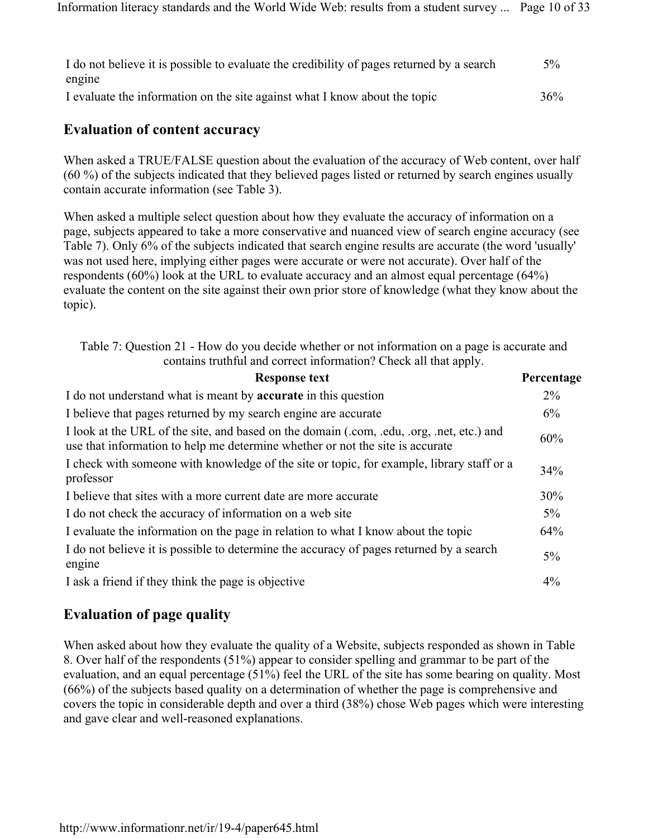| I do not believe it is possible to evaluate the credibility of pages returned by a search | $5\%$  |
|-------------------------------------------------------------------------------------------|--------|
| engine                                                                                    |        |
| I evaluate the information on the site against what I know about the topic                | $36\%$ |

#### **Evaluation of content accuracy**

When asked a TRUE/FALSE question about the evaluation of the accuracy of Web content, over half (60 %) of the subjects indicated that they believed pages listed or returned by search engines usually contain accurate information (see Table 3).

When asked a multiple select question about how they evaluate the accuracy of information on a page, subjects appeared to take a more conservative and nuanced view of search engine accuracy (see Table 7). Only 6% of the subjects indicated that search engine results are accurate (the word 'usually' was not used here, implying either pages were accurate or were not accurate). Over half of the respondents (60%) look at the URL to evaluate accuracy and an almost equal percentage (64%) evaluate the content on the site against their own prior store of knowledge (what they know about the topic).

Table 7: Question 21 - How do you decide whether or not information on a page is accurate and contains truthful and correct information? Check all that apply.

| <b>Response text</b>                                                                                                                                                       | Percentage |
|----------------------------------------------------------------------------------------------------------------------------------------------------------------------------|------------|
| I do not understand what is meant by <b>accurate</b> in this question                                                                                                      | $2\%$      |
| I believe that pages returned by my search engine are accurate                                                                                                             | 6%         |
| I look at the URL of the site, and based on the domain (.com, .edu, .org, .net, etc.) and<br>use that information to help me determine whether or not the site is accurate | 60%        |
| I check with someone with knowledge of the site or topic, for example, library staff or a<br>professor                                                                     | 34%        |
| I believe that sites with a more current date are more accurate                                                                                                            | 30%        |
| I do not check the accuracy of information on a web site                                                                                                                   | $5\%$      |
| I evaluate the information on the page in relation to what I know about the topic                                                                                          | 64%        |
| I do not believe it is possible to determine the accuracy of pages returned by a search<br>engine                                                                          | $5\%$      |
| I ask a friend if they think the page is objective                                                                                                                         | $4\%$      |

### **Evaluation of page quality**

When asked about how they evaluate the quality of a Website, subjects responded as shown in Table 8. Over half of the respondents (51%) appear to consider spelling and grammar to be part of the evaluation, and an equal percentage (51%) feel the URL of the site has some bearing on quality. Most (66%) of the subjects based quality on a determination of whether the page is comprehensive and covers the topic in considerable depth and over a third (38%) chose Web pages which were interesting and gave clear and well-reasoned explanations.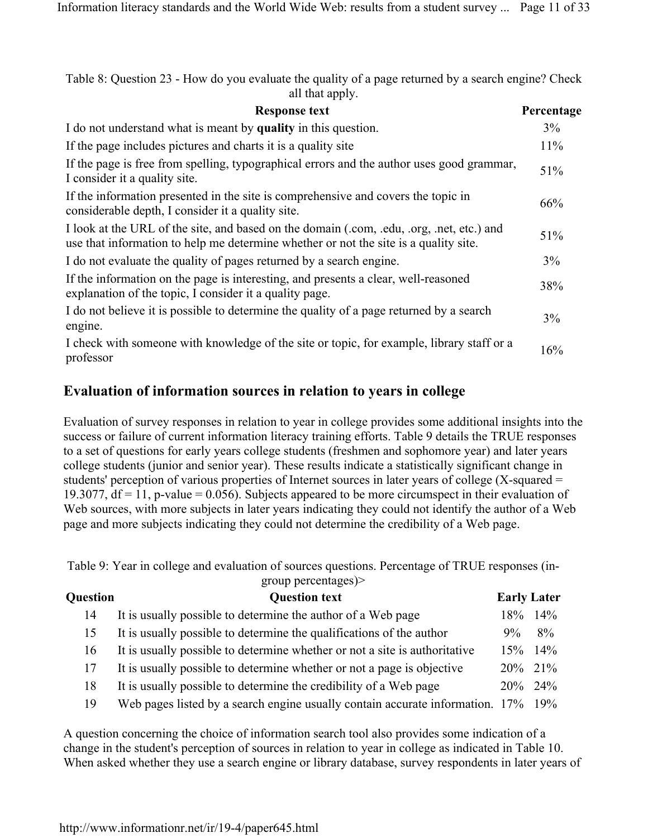Table 8: Question 23 - How do you evaluate the quality of a page returned by a search engine? Check all that apply.

| <b>Response text</b>                                                                                                                                                              | Percentage |
|-----------------------------------------------------------------------------------------------------------------------------------------------------------------------------------|------------|
| I do not understand what is meant by quality in this question.                                                                                                                    | 3%         |
| If the page includes pictures and charts it is a quality site                                                                                                                     | 11%        |
| If the page is free from spelling, typographical errors and the author uses good grammar,<br>I consider it a quality site.                                                        | 51%        |
| If the information presented in the site is comprehensive and covers the topic in<br>considerable depth, I consider it a quality site.                                            | 66%        |
| I look at the URL of the site, and based on the domain (.com, .edu, .org, .net, etc.) and<br>use that information to help me determine whether or not the site is a quality site. | 51%        |
| I do not evaluate the quality of pages returned by a search engine.                                                                                                               | 3%         |
| If the information on the page is interesting, and presents a clear, well-reasoned<br>explanation of the topic, I consider it a quality page.                                     | 38%        |
| I do not believe it is possible to determine the quality of a page returned by a search<br>engine.                                                                                | 3%         |
| I check with someone with knowledge of the site or topic, for example, library staff or a<br>professor                                                                            | 16%        |

#### **Evaluation of information sources in relation to years in college**

Evaluation of survey responses in relation to year in college provides some additional insights into the success or failure of current information literacy training efforts. Table 9 details the TRUE responses to a set of questions for early years college students (freshmen and sophomore year) and later years college students (junior and senior year). These results indicate a statistically significant change in students' perception of various properties of Internet sources in later years of college (Χ-squared = 19.3077,  $df = 11$ , p-value = 0.056). Subjects appeared to be more circumspect in their evaluation of Web sources, with more subjects in later years indicating they could not identify the author of a Web page and more subjects indicating they could not determine the credibility of a Web page.

Table 9: Year in college and evaluation of sources questions. Percentage of TRUE responses (ingroup percentages)>

| <b>Question</b><br><b>Question text</b> |                                                                                   | <b>Early Later</b> |        |
|-----------------------------------------|-----------------------------------------------------------------------------------|--------------------|--------|
| 14                                      | It is usually possible to determine the author of a Web page                      | 18%                | $14\%$ |
| 15                                      | It is usually possible to determine the qualifications of the author              |                    | 8%     |
| 16                                      | It is usually possible to determine whether or not a site is authoritative        | $15\%$ 14%         |        |
| 17                                      | It is usually possible to determine whether or not a page is objective            | 20% 21%            |        |
| 18                                      | It is usually possible to determine the credibility of a Web page                 | $20\%$ 24%         |        |
| 19                                      | Web pages listed by a search engine usually contain accurate information. 17% 19% |                    |        |

A question concerning the choice of information search tool also provides some indication of a change in the student's perception of sources in relation to year in college as indicated in Table 10. When asked whether they use a search engine or library database, survey respondents in later years of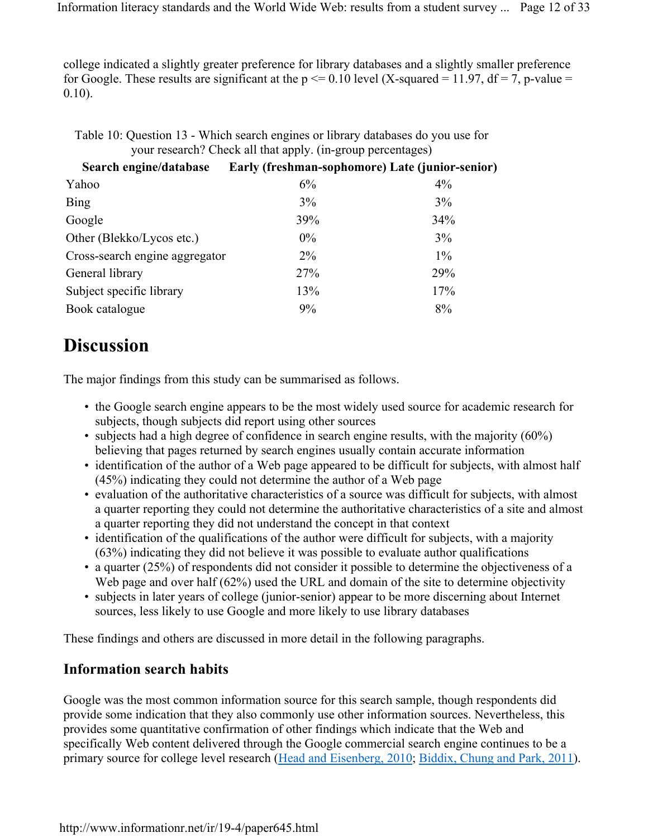college indicated a slightly greater preference for library databases and a slightly smaller preference for Google. These results are significant at the  $p \le 0.10$  level (X-squared = 11.97, df = 7, p-value = 0.10).

| your research? Check all that apply. (in-group percentages) |                                                 |       |
|-------------------------------------------------------------|-------------------------------------------------|-------|
| Search engine/database                                      | Early (freshman-sophomore) Late (junior-senior) |       |
| Yahoo                                                       | 6%                                              | $4\%$ |
| <b>Bing</b>                                                 | 3%                                              | 3%    |
| Google                                                      | 39%                                             | 34%   |
| Other (Blekko/Lycos etc.)                                   | $0\%$                                           | 3%    |
| Cross-search engine aggregator                              | $2\%$                                           | $1\%$ |
| General library                                             | 27%                                             | 29%   |
| Subject specific library                                    | 13%                                             | 17%   |
| Book catalogue                                              | 9%                                              | 8%    |
|                                                             |                                                 |       |

Table 10: Question 13 - Which search engines or library databases do you use for

# **Discussion**

The major findings from this study can be summarised as follows.

- the Google search engine appears to be the most widely used source for academic research for subjects, though subjects did report using other sources
- subjects had a high degree of confidence in search engine results, with the majority (60%) believing that pages returned by search engines usually contain accurate information
- identification of the author of a Web page appeared to be difficult for subjects, with almost half (45%) indicating they could not determine the author of a Web page
- evaluation of the authoritative characteristics of a source was difficult for subjects, with almost a quarter reporting they could not determine the authoritative characteristics of a site and almost a quarter reporting they did not understand the concept in that context
- identification of the qualifications of the author were difficult for subjects, with a majority (63%) indicating they did not believe it was possible to evaluate author qualifications
- a quarter (25%) of respondents did not consider it possible to determine the objectiveness of a Web page and over half (62%) used the URL and domain of the site to determine objectivity
- subjects in later years of college (junior-senior) appear to be more discerning about Internet sources, less likely to use Google and more likely to use library databases

These findings and others are discussed in more detail in the following paragraphs.

### **Information search habits**

Google was the most common information source for this search sample, though respondents did provide some indication that they also commonly use other information sources. Nevertheless, this provides some quantitative confirmation of other findings which indicate that the Web and specifically Web content delivered through the Google commercial search engine continues to be a primary source for college level research (Head and Eisenberg, 2010; Biddix, Chung and Park, 2011).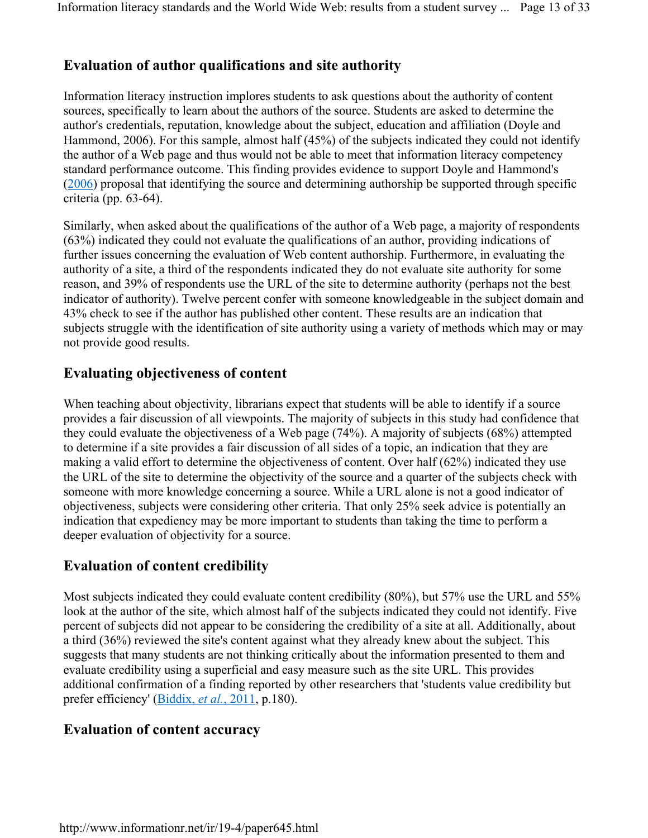### **Evaluation of author qualifications and site authority**

Information literacy instruction implores students to ask questions about the authority of content sources, specifically to learn about the authors of the source. Students are asked to determine the author's credentials, reputation, knowledge about the subject, education and affiliation (Doyle and Hammond, 2006). For this sample, almost half (45%) of the subjects indicated they could not identify the author of a Web page and thus would not be able to meet that information literacy competency standard performance outcome. This finding provides evidence to support Doyle and Hammond's (2006) proposal that identifying the source and determining authorship be supported through specific criteria (pp. 63-64).

Similarly, when asked about the qualifications of the author of a Web page, a majority of respondents (63%) indicated they could not evaluate the qualifications of an author, providing indications of further issues concerning the evaluation of Web content authorship. Furthermore, in evaluating the authority of a site, a third of the respondents indicated they do not evaluate site authority for some reason, and 39% of respondents use the URL of the site to determine authority (perhaps not the best indicator of authority). Twelve percent confer with someone knowledgeable in the subject domain and 43% check to see if the author has published other content. These results are an indication that subjects struggle with the identification of site authority using a variety of methods which may or may not provide good results.

#### **Evaluating objectiveness of content**

When teaching about objectivity, librarians expect that students will be able to identify if a source provides a fair discussion of all viewpoints. The majority of subjects in this study had confidence that they could evaluate the objectiveness of a Web page (74%). A majority of subjects (68%) attempted to determine if a site provides a fair discussion of all sides of a topic, an indication that they are making a valid effort to determine the objectiveness of content. Over half (62%) indicated they use the URL of the site to determine the objectivity of the source and a quarter of the subjects check with someone with more knowledge concerning a source. While a URL alone is not a good indicator of objectiveness, subjects were considering other criteria. That only 25% seek advice is potentially an indication that expediency may be more important to students than taking the time to perform a deeper evaluation of objectivity for a source.

### **Evaluation of content credibility**

Most subjects indicated they could evaluate content credibility (80%), but 57% use the URL and 55% look at the author of the site, which almost half of the subjects indicated they could not identify. Five percent of subjects did not appear to be considering the credibility of a site at all. Additionally, about a third (36%) reviewed the site's content against what they already knew about the subject. This suggests that many students are not thinking critically about the information presented to them and evaluate credibility using a superficial and easy measure such as the site URL. This provides additional confirmation of a finding reported by other researchers that 'students value credibility but prefer efficiency' (Biddix, *et al.*, 2011, p.180).

### **Evaluation of content accuracy**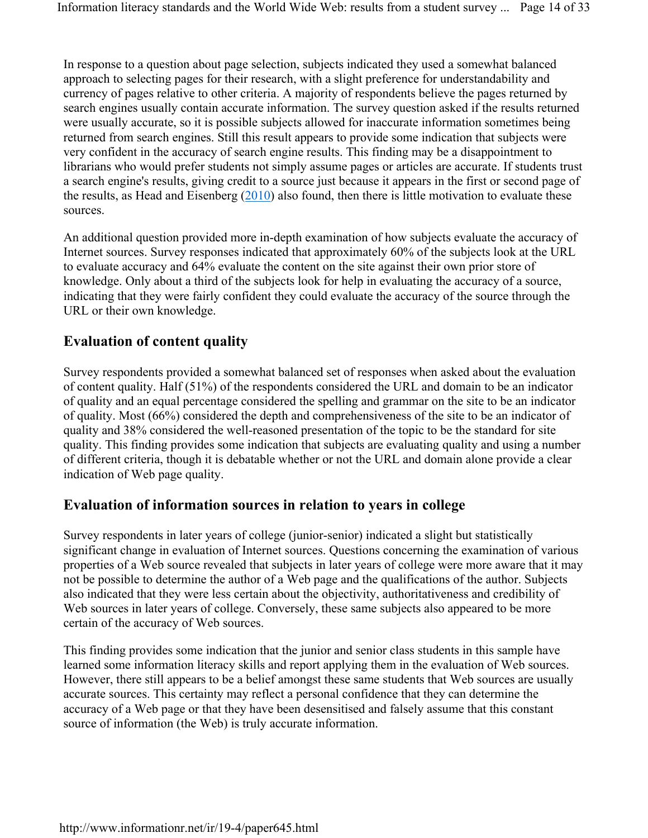In response to a question about page selection, subjects indicated they used a somewhat balanced approach to selecting pages for their research, with a slight preference for understandability and currency of pages relative to other criteria. A majority of respondents believe the pages returned by search engines usually contain accurate information. The survey question asked if the results returned were usually accurate, so it is possible subjects allowed for inaccurate information sometimes being returned from search engines. Still this result appears to provide some indication that subjects were very confident in the accuracy of search engine results. This finding may be a disappointment to librarians who would prefer students not simply assume pages or articles are accurate. If students trust a search engine's results, giving credit to a source just because it appears in the first or second page of the results, as Head and Eisenberg (2010) also found, then there is little motivation to evaluate these sources.

An additional question provided more in-depth examination of how subjects evaluate the accuracy of Internet sources. Survey responses indicated that approximately 60% of the subjects look at the URL to evaluate accuracy and 64% evaluate the content on the site against their own prior store of knowledge. Only about a third of the subjects look for help in evaluating the accuracy of a source, indicating that they were fairly confident they could evaluate the accuracy of the source through the URL or their own knowledge.

#### **Evaluation of content quality**

Survey respondents provided a somewhat balanced set of responses when asked about the evaluation of content quality. Half (51%) of the respondents considered the URL and domain to be an indicator of quality and an equal percentage considered the spelling and grammar on the site to be an indicator of quality. Most (66%) considered the depth and comprehensiveness of the site to be an indicator of quality and 38% considered the well-reasoned presentation of the topic to be the standard for site quality. This finding provides some indication that subjects are evaluating quality and using a number of different criteria, though it is debatable whether or not the URL and domain alone provide a clear indication of Web page quality.

#### **Evaluation of information sources in relation to years in college**

Survey respondents in later years of college (junior-senior) indicated a slight but statistically significant change in evaluation of Internet sources. Questions concerning the examination of various properties of a Web source revealed that subjects in later years of college were more aware that it may not be possible to determine the author of a Web page and the qualifications of the author. Subjects also indicated that they were less certain about the objectivity, authoritativeness and credibility of Web sources in later years of college. Conversely, these same subjects also appeared to be more certain of the accuracy of Web sources.

This finding provides some indication that the junior and senior class students in this sample have learned some information literacy skills and report applying them in the evaluation of Web sources. However, there still appears to be a belief amongst these same students that Web sources are usually accurate sources. This certainty may reflect a personal confidence that they can determine the accuracy of a Web page or that they have been desensitised and falsely assume that this constant source of information (the Web) is truly accurate information.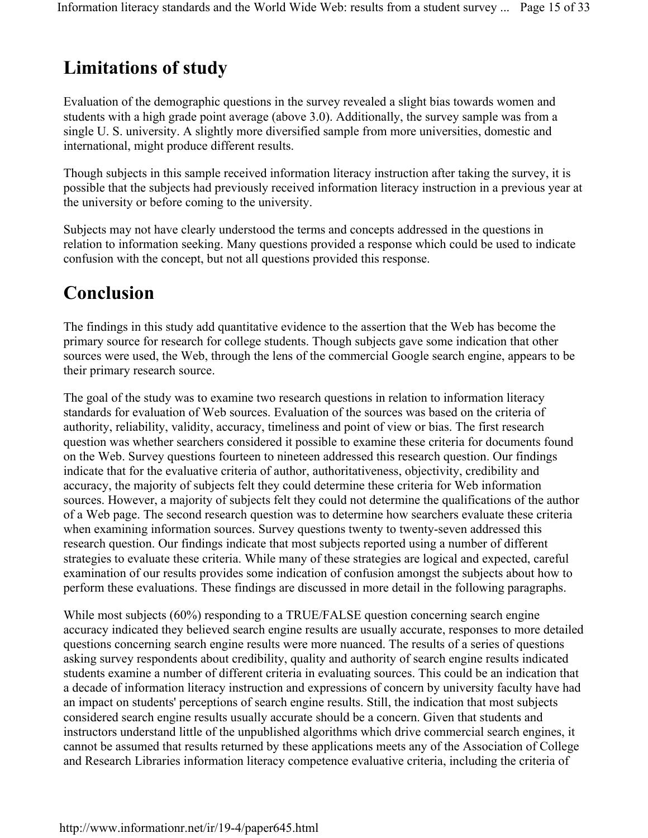# **Limitations of study**

Evaluation of the demographic questions in the survey revealed a slight bias towards women and students with a high grade point average (above 3.0). Additionally, the survey sample was from a single U. S. university. A slightly more diversified sample from more universities, domestic and international, might produce different results.

Though subjects in this sample received information literacy instruction after taking the survey, it is possible that the subjects had previously received information literacy instruction in a previous year at the university or before coming to the university.

Subjects may not have clearly understood the terms and concepts addressed in the questions in relation to information seeking. Many questions provided a response which could be used to indicate confusion with the concept, but not all questions provided this response.

# **Conclusion**

The findings in this study add quantitative evidence to the assertion that the Web has become the primary source for research for college students. Though subjects gave some indication that other sources were used, the Web, through the lens of the commercial Google search engine, appears to be their primary research source.

The goal of the study was to examine two research questions in relation to information literacy standards for evaluation of Web sources. Evaluation of the sources was based on the criteria of authority, reliability, validity, accuracy, timeliness and point of view or bias. The first research question was whether searchers considered it possible to examine these criteria for documents found on the Web. Survey questions fourteen to nineteen addressed this research question. Our findings indicate that for the evaluative criteria of author, authoritativeness, objectivity, credibility and accuracy, the majority of subjects felt they could determine these criteria for Web information sources. However, a majority of subjects felt they could not determine the qualifications of the author of a Web page. The second research question was to determine how searchers evaluate these criteria when examining information sources. Survey questions twenty to twenty-seven addressed this research question. Our findings indicate that most subjects reported using a number of different strategies to evaluate these criteria. While many of these strategies are logical and expected, careful examination of our results provides some indication of confusion amongst the subjects about how to perform these evaluations. These findings are discussed in more detail in the following paragraphs.

While most subjects (60%) responding to a TRUE/FALSE question concerning search engine accuracy indicated they believed search engine results are usually accurate, responses to more detailed questions concerning search engine results were more nuanced. The results of a series of questions asking survey respondents about credibility, quality and authority of search engine results indicated students examine a number of different criteria in evaluating sources. This could be an indication that a decade of information literacy instruction and expressions of concern by university faculty have had an impact on students' perceptions of search engine results. Still, the indication that most subjects considered search engine results usually accurate should be a concern. Given that students and instructors understand little of the unpublished algorithms which drive commercial search engines, it cannot be assumed that results returned by these applications meets any of the Association of College and Research Libraries information literacy competence evaluative criteria, including the criteria of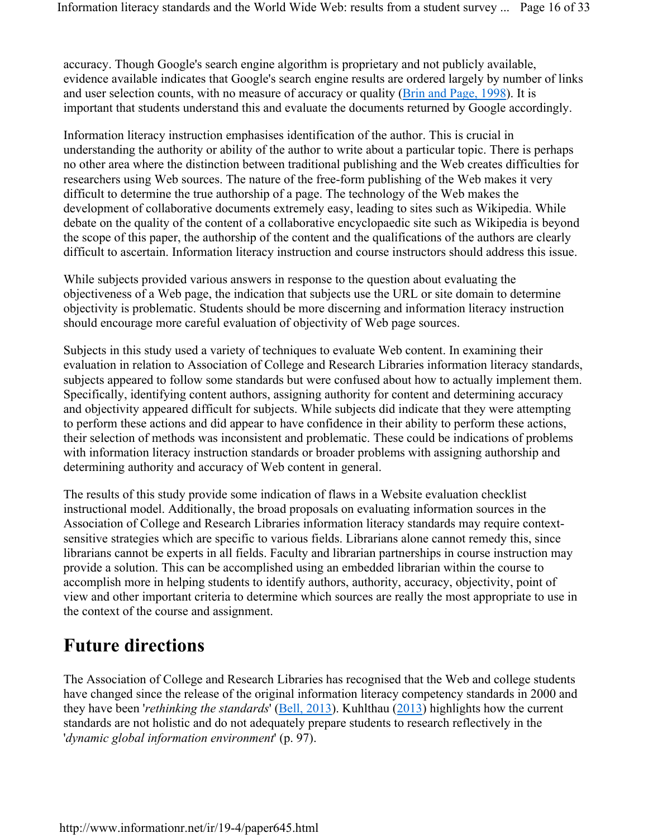accuracy. Though Google's search engine algorithm is proprietary and not publicly available, evidence available indicates that Google's search engine results are ordered largely by number of links and user selection counts, with no measure of accuracy or quality (Brin and Page, 1998). It is important that students understand this and evaluate the documents returned by Google accordingly.

Information literacy instruction emphasises identification of the author. This is crucial in understanding the authority or ability of the author to write about a particular topic. There is perhaps no other area where the distinction between traditional publishing and the Web creates difficulties for researchers using Web sources. The nature of the free-form publishing of the Web makes it very difficult to determine the true authorship of a page. The technology of the Web makes the development of collaborative documents extremely easy, leading to sites such as Wikipedia. While debate on the quality of the content of a collaborative encyclopaedic site such as Wikipedia is beyond the scope of this paper, the authorship of the content and the qualifications of the authors are clearly difficult to ascertain. Information literacy instruction and course instructors should address this issue.

While subjects provided various answers in response to the question about evaluating the objectiveness of a Web page, the indication that subjects use the URL or site domain to determine objectivity is problematic. Students should be more discerning and information literacy instruction should encourage more careful evaluation of objectivity of Web page sources.

Subjects in this study used a variety of techniques to evaluate Web content. In examining their evaluation in relation to Association of College and Research Libraries information literacy standards, subjects appeared to follow some standards but were confused about how to actually implement them. Specifically, identifying content authors, assigning authority for content and determining accuracy and objectivity appeared difficult for subjects. While subjects did indicate that they were attempting to perform these actions and did appear to have confidence in their ability to perform these actions, their selection of methods was inconsistent and problematic. These could be indications of problems with information literacy instruction standards or broader problems with assigning authorship and determining authority and accuracy of Web content in general.

The results of this study provide some indication of flaws in a Website evaluation checklist instructional model. Additionally, the broad proposals on evaluating information sources in the Association of College and Research Libraries information literacy standards may require contextsensitive strategies which are specific to various fields. Librarians alone cannot remedy this, since librarians cannot be experts in all fields. Faculty and librarian partnerships in course instruction may provide a solution. This can be accomplished using an embedded librarian within the course to accomplish more in helping students to identify authors, authority, accuracy, objectivity, point of view and other important criteria to determine which sources are really the most appropriate to use in the context of the course and assignment.

# **Future directions**

The Association of College and Research Libraries has recognised that the Web and college students have changed since the release of the original information literacy competency standards in 2000 and they have been '*rethinking the standards*' (Bell, 2013). Kuhlthau (2013) highlights how the current standards are not holistic and do not adequately prepare students to research reflectively in the '*dynamic global information environment*' (p. 97).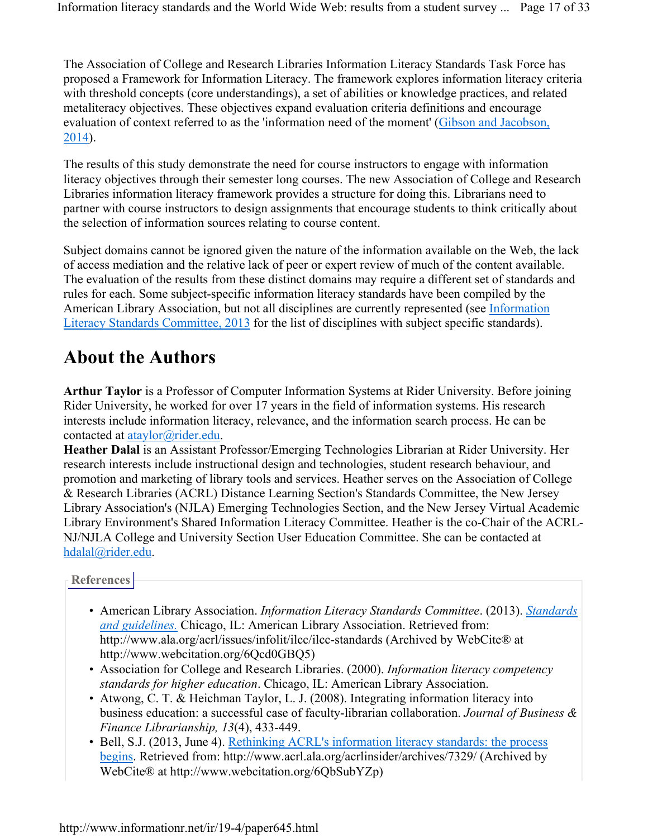The Association of College and Research Libraries Information Literacy Standards Task Force has proposed a Framework for Information Literacy. The framework explores information literacy criteria with threshold concepts (core understandings), a set of abilities or knowledge practices, and related metaliteracy objectives. These objectives expand evaluation criteria definitions and encourage evaluation of context referred to as the 'information need of the moment' (Gibson and Jacobson, 2014).

The results of this study demonstrate the need for course instructors to engage with information literacy objectives through their semester long courses. The new Association of College and Research Libraries information literacy framework provides a structure for doing this. Librarians need to partner with course instructors to design assignments that encourage students to think critically about the selection of information sources relating to course content.

Subject domains cannot be ignored given the nature of the information available on the Web, the lack of access mediation and the relative lack of peer or expert review of much of the content available. The evaluation of the results from these distinct domains may require a different set of standards and rules for each. Some subject-specific information literacy standards have been compiled by the American Library Association, but not all disciplines are currently represented (see Information Literacy Standards Committee, 2013 for the list of disciplines with subject specific standards).

### **About the Authors**

**Arthur Taylor** is a Professor of Computer Information Systems at Rider University. Before joining Rider University, he worked for over 17 years in the field of information systems. His research interests include information literacy, relevance, and the information search process. He can be contacted at ataylor@rider.edu.

**Heather Dalal** is an Assistant Professor/Emerging Technologies Librarian at Rider University. Her research interests include instructional design and technologies, student research behaviour, and promotion and marketing of library tools and services. Heather serves on the Association of College & Research Libraries (ACRL) Distance Learning Section's Standards Committee, the New Jersey Library Association's (NJLA) Emerging Technologies Section, and the New Jersey Virtual Academic Library Environment's Shared Information Literacy Committee. Heather is the co-Chair of the ACRL-NJ/NJLA College and University Section User Education Committee. She can be contacted at hdalal@rider.edu.

**References**

- American Library Association. *Information Literacy Standards Committee*. (2013). *Standards and guidelines.* Chicago, IL: American Library Association. Retrieved from: http://www.ala.org/acrl/issues/infolit/ilcc/ilcc-standards (Archived by WebCite® at http://www.webcitation.org/6Qcd0GBQ5)
- Association for College and Research Libraries. (2000). *Information literacy competency standards for higher education*. Chicago, IL: American Library Association.
- Atwong, C. T. & Heichman Taylor, L. J. (2008). Integrating information literacy into business education: a successful case of faculty-librarian collaboration. *Journal of Business & Finance Librarianship, 13*(4), 433-449.
- Bell, S.J. (2013, June 4). Rethinking ACRL's information literacy standards: the process begins. Retrieved from: http://www.acrl.ala.org/acrlinsider/archives/7329/ (Archived by WebCite® at http://www.webcitation.org/6QbSubYZp)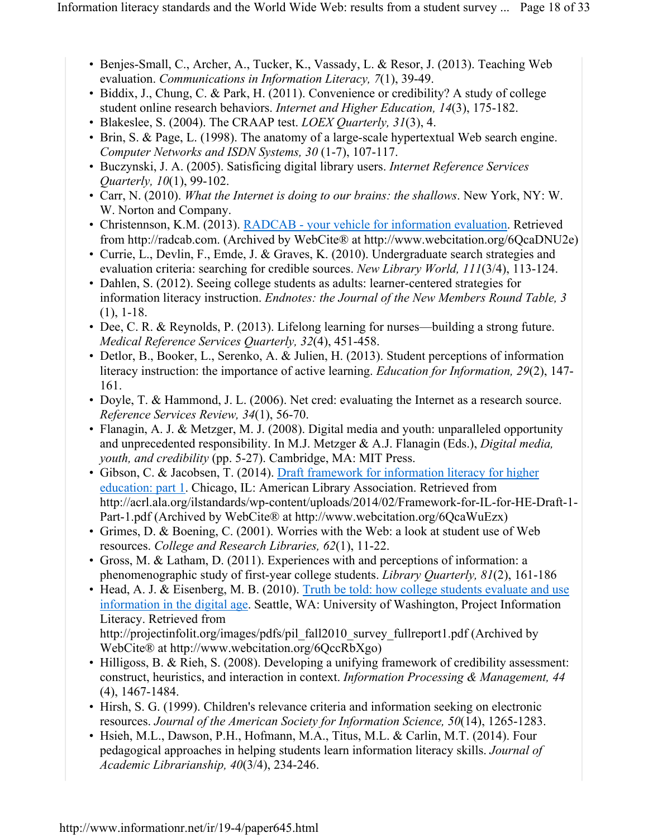- Benjes-Small, C., Archer, A., Tucker, K., Vassady, L. & Resor, J. (2013). Teaching Web evaluation. *Communications in Information Literacy, 7*(1), 39-49.
- Biddix, J., Chung, C. & Park, H. (2011). Convenience or credibility? A study of college student online research behaviors. *Internet and Higher Education, 14*(3), 175-182.
- Blakeslee, S. (2004). The CRAAP test. *LOEX Quarterly, 31*(3), 4.
- Brin, S. & Page, L. (1998). The anatomy of a large-scale hypertextual Web search engine. *Computer Networks and ISDN Systems, 30* (1-7), 107-117.
- Buczynski, J. A. (2005). Satisficing digital library users. *Internet Reference Services Quarterly, 10*(1), 99-102.
- Carr, N. (2010). *What the Internet is doing to our brains: the shallows*. New York, NY: W. W. Norton and Company.
- Christennson, K.M. (2013). RADCAB your vehicle for information evaluation. Retrieved from http://radcab.com. (Archived by WebCite® at http://www.webcitation.org/6QcaDNU2e)
- Currie, L., Devlin, F., Emde, J. & Graves, K. (2010). Undergraduate search strategies and evaluation criteria: searching for credible sources. *New Library World, 111*(3/4), 113-124.
- Dahlen, S. (2012). Seeing college students as adults: learner-centered strategies for information literacy instruction. *Endnotes: the Journal of the New Members Round Table, 3* (1), 1-18.
- Dee, C. R. & Reynolds, P. (2013). Lifelong learning for nurses—building a strong future. *Medical Reference Services Quarterly, 32*(4), 451-458.
- Detlor, B., Booker, L., Serenko, A. & Julien, H. (2013). Student perceptions of information literacy instruction: the importance of active learning. *Education for Information, 29*(2), 147- 161.
- Doyle, T. & Hammond, J. L. (2006). Net cred: evaluating the Internet as a research source. *Reference Services Review, 34*(1), 56-70.
- Flanagin, A. J. & Metzger, M. J. (2008). Digital media and youth: unparalleled opportunity and unprecedented responsibility. In M.J. Metzger & A.J. Flanagin (Eds.), *Digital media, youth, and credibility* (pp. 5-27). Cambridge, MA: MIT Press.
- Gibson, C. & Jacobsen, T. (2014). Draft framework for information literacy for higher education: part 1. Chicago, IL: American Library Association. Retrieved from http://acrl.ala.org/ilstandards/wp-content/uploads/2014/02/Framework-for-IL-for-HE-Draft-1- Part-1.pdf (Archived by WebCite® at http://www.webcitation.org/6QcaWuEzx)
- Grimes, D. & Boening, C. (2001). Worries with the Web: a look at student use of Web resources. *College and Research Libraries, 62*(1), 11-22.
- Gross, M. & Latham, D. (2011). Experiences with and perceptions of information: a phenomenographic study of first-year college students. *Library Quarterly, 81*(2), 161-186
- Head, A. J. & Eisenberg, M. B. (2010). Truth be told: how college students evaluate and use information in the digital age. Seattle, WA: University of Washington, Project Information Literacy. Retrieved from http://projectinfolit.org/images/pdfs/pil\_fall2010\_survey\_fullreport1.pdf (Archived by WebCite® at http://www.webcitation.org/6QccRbXgo)
- Hilligoss, B. & Rieh, S. (2008). Developing a unifying framework of credibility assessment: construct, heuristics, and interaction in context. *Information Processing & Management, 44* (4), 1467-1484.
- Hirsh, S. G. (1999). Children's relevance criteria and information seeking on electronic resources. *Journal of the American Society for Information Science, 50*(14), 1265-1283.
- Hsieh, M.L., Dawson, P.H., Hofmann, M.A., Titus, M.L. & Carlin, M.T. (2014). Four pedagogical approaches in helping students learn information literacy skills. *Journal of Academic Librarianship, 40*(3/4), 234-246.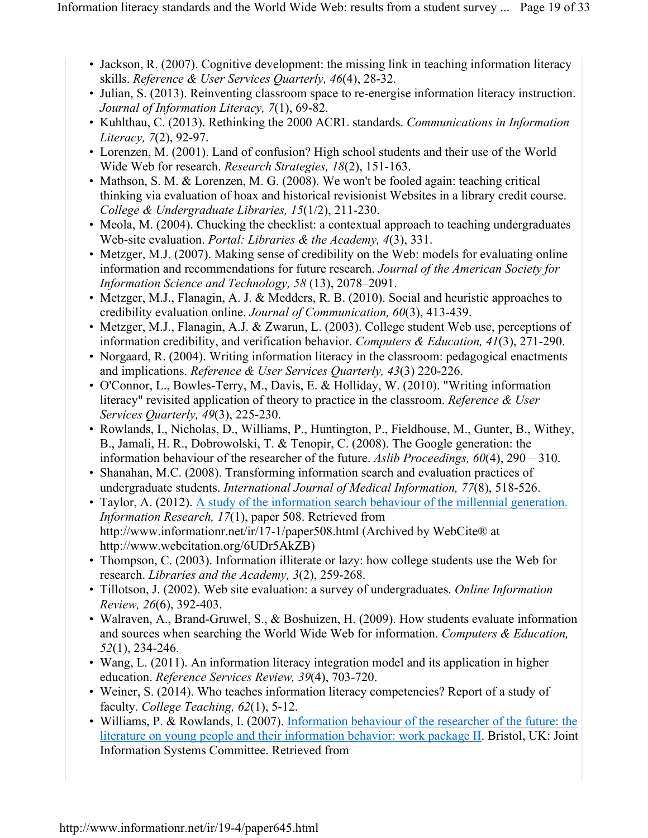- Jackson, R. (2007). Cognitive development: the missing link in teaching information literacy skills. *Reference & User Services Quarterly, 46*(4), 28-32.
- Julian, S. (2013). Reinventing classroom space to re-energise information literacy instruction. *Journal of Information Literacy, 7*(1), 69-82.
- Kuhlthau, C. (2013). Rethinking the 2000 ACRL standards. *Communications in Information Literacy, 7*(2), 92-97.
- Lorenzen, M. (2001). Land of confusion? High school students and their use of the World Wide Web for research. *Research Strategies, 18*(2), 151-163.
- Mathson, S. M. & Lorenzen, M. G. (2008). We won't be fooled again: teaching critical thinking via evaluation of hoax and historical revisionist Websites in a library credit course. *College & Undergraduate Libraries, 15*(1/2), 211-230.
- Meola, M. (2004). Chucking the checklist: a contextual approach to teaching undergraduates Web-site evaluation. *Portal: Libraries & the Academy, 4*(3), 331.
- Metzger, M.J. (2007). Making sense of credibility on the Web: models for evaluating online information and recommendations for future research. *Journal of the American Society for Information Science and Technology, 58* (13), 2078–2091.
- Metzger, M.J., Flanagin, A.J. & Medders, R.B. (2010). Social and heuristic approaches to credibility evaluation online. *Journal of Communication, 60*(3), 413-439.
- Metzger, M.J., Flanagin, A.J. & Zwarun, L. (2003). College student Web use, perceptions of information credibility, and verification behavior. *Computers & Education, 41*(3), 271-290.
- Norgaard, R. (2004). Writing information literacy in the classroom: pedagogical enactments and implications. *Reference & User Services Quarterly, 43*(3) 220-226.
- O'Connor, L., Bowles-Terry, M., Davis, E. & Holliday, W. (2010). "Writing information literacy" revisited application of theory to practice in the classroom. *Reference & User Services Quarterly, 49*(3), 225-230.
- Rowlands, I., Nicholas, D., Williams, P., Huntington, P., Fieldhouse, M., Gunter, B., Withey, B., Jamali, H. R., Dobrowolski, T. & Tenopir, C. (2008). The Google generation: the information behaviour of the researcher of the future. *Aslib Proceedings, 60*(4), 290 – 310.
- Shanahan, M.C. (2008). Transforming information search and evaluation practices of undergraduate students. *International Journal of Medical Information, 77*(8), 518-526.
- Taylor, A. (2012). A study of the information search behaviour of the millennial generation. *Information Research, 17*(1), paper 508. Retrieved from http://www.informationr.net/ir/17-1/paper508.html (Archived by WebCite® at http://www.webcitation.org/6UDr5AkZB)
- Thompson, C. (2003). Information illiterate or lazy: how college students use the Web for research. *Libraries and the Academy, 3*(2), 259-268.
- Tillotson, J. (2002). Web site evaluation: a survey of undergraduates. *Online Information Review, 26*(6), 392-403.
- Walraven, A., Brand-Gruwel, S., & Boshuizen, H. (2009). How students evaluate information and sources when searching the World Wide Web for information. *Computers & Education, 52*(1), 234-246.
- Wang, L. (2011). An information literacy integration model and its application in higher education. *Reference Services Review, 39*(4), 703-720.
- Weiner, S. (2014). Who teaches information literacy competencies? Report of a study of faculty. *College Teaching, 62*(1), 5-12.
- Williams, P. & Rowlands, I. (2007). Information behaviour of the researcher of the future: the literature on young people and their information behavior: work package II. Bristol, UK: Joint Information Systems Committee. Retrieved from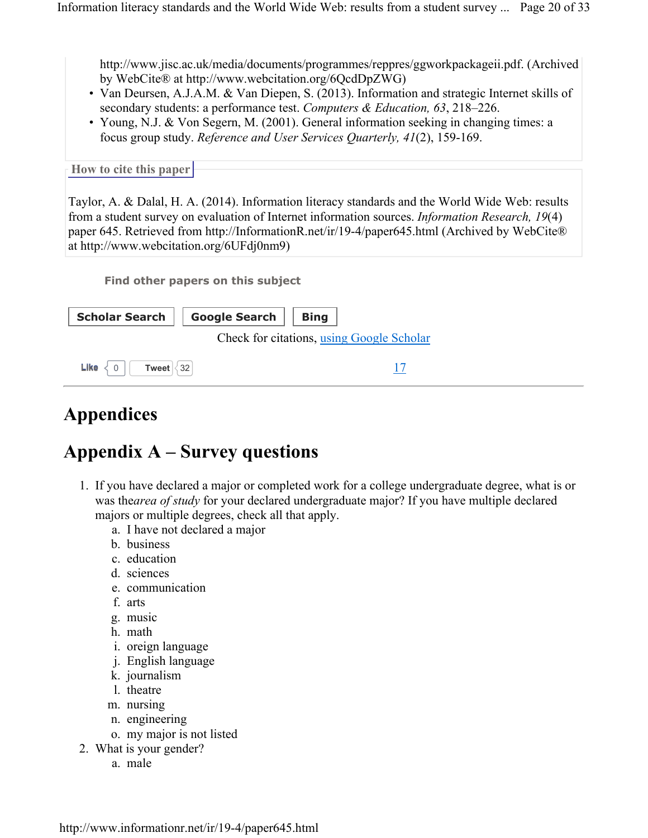http://www.jisc.ac.uk/media/documents/programmes/reppres/ggworkpackageii.pdf. (Archived by WebCite® at http://www.webcitation.org/6QcdDpZWG)

- Van Deursen, A.J.A.M. & Van Diepen, S. (2013). Information and strategic Internet skills of secondary students: a performance test. *Computers & Education, 63*, 218–226.
- Young, N.J. & Von Segern, M. (2001). General information seeking in changing times: a focus group study. *Reference and User Services Quarterly, 41*(2), 159-169.

#### **How to cite this paper**

Taylor, A. & Dalal, H. A. (2014). Information literacy standards and the World Wide Web: results from a student survey on evaluation of Internet information sources. *Information Research, 19*(4) paper 645. Retrieved from http://InformationR.net/ir/19-4/paper645.html (Archived by WebCite® at http://www.webcitation.org/6UFdj0nm9)

**Find other papers on this subject**

| <b>Scholar Search</b>                     | Google Search | <b>Bing</b> |  |  |
|-------------------------------------------|---------------|-------------|--|--|
| Check for citations, using Google Scholar |               |             |  |  |
| Like<br>Tweet $\langle 32 \rangle$        |               |             |  |  |

# **Appendices**

# **Appendix A – Survey questions**

- 1. If you have declared a major or completed work for a college undergraduate degree, what is or was the*area of study* for your declared undergraduate major? If you have multiple declared majors or multiple degrees, check all that apply.
	- a. I have not declared a major
	- b. business
	- c. education
	- d. sciences
	- e. communication
	- f. arts
	- g. music
	- h. math
	- i. oreign language
	- j. English language
	- k. journalism
	- l. theatre
	- m. nursing
	- n. engineering
	- o. my major is not listed
- 2. What is your gender?
	- a. male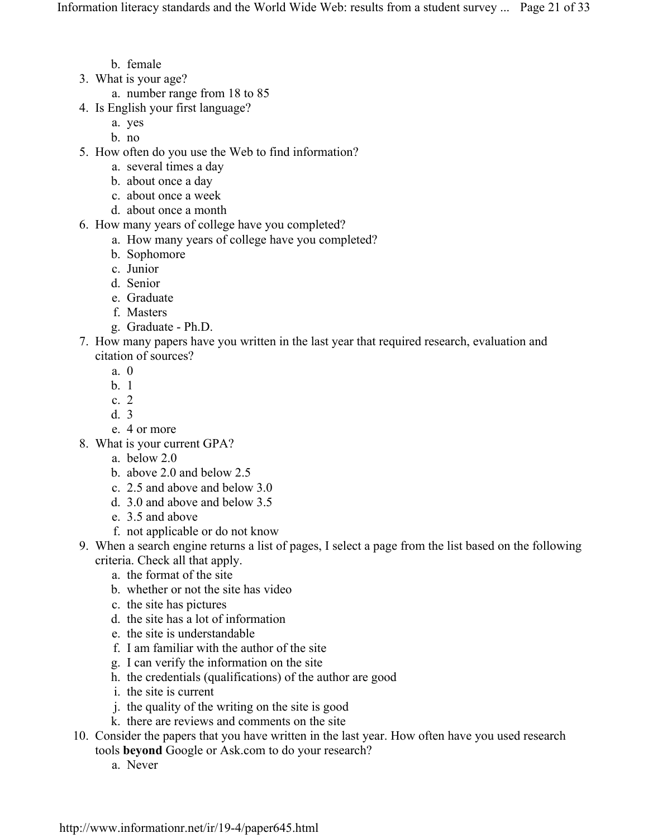- b. female
- 3. What is your age?
	- a. number range from 18 to 85
- 4. Is English your first language?
	- a. yes
	- b. no
- 5. How often do you use the Web to find information?
	- a. several times a day
	- b. about once a day
	- c. about once a week
	- d. about once a month
- 6. How many years of college have you completed?
	- a. How many years of college have you completed?
		- b. Sophomore
		- c. Junior
		- d. Senior
		- e. Graduate
		- f. Masters
		- g. Graduate Ph.D.
- 7. How many papers have you written in the last year that required research, evaluation and citation of sources?
	- a. 0
	- b. 1
	- c. 2
	- d. 3
	- e. 4 or more
- 8. What is your current GPA?
	- a. below 2.0
	- b. above 2.0 and below 2.5
	- c. 2.5 and above and below 3.0
	- d. 3.0 and above and below 3.5
	- e. 3.5 and above
	- f. not applicable or do not know
- 9. When a search engine returns a list of pages, I select a page from the list based on the following criteria. Check all that apply.
	- a. the format of the site
	- b. whether or not the site has video
	- c. the site has pictures
	- d. the site has a lot of information
	- e. the site is understandable
	- f. I am familiar with the author of the site
	- g. I can verify the information on the site
	- h. the credentials (qualifications) of the author are good
	- i. the site is current
	- j. the quality of the writing on the site is good
	- k. there are reviews and comments on the site
- 10. Consider the papers that you have written in the last year. How often have you used research tools **beyond** Google or Ask.com to do your research?
	- a. Never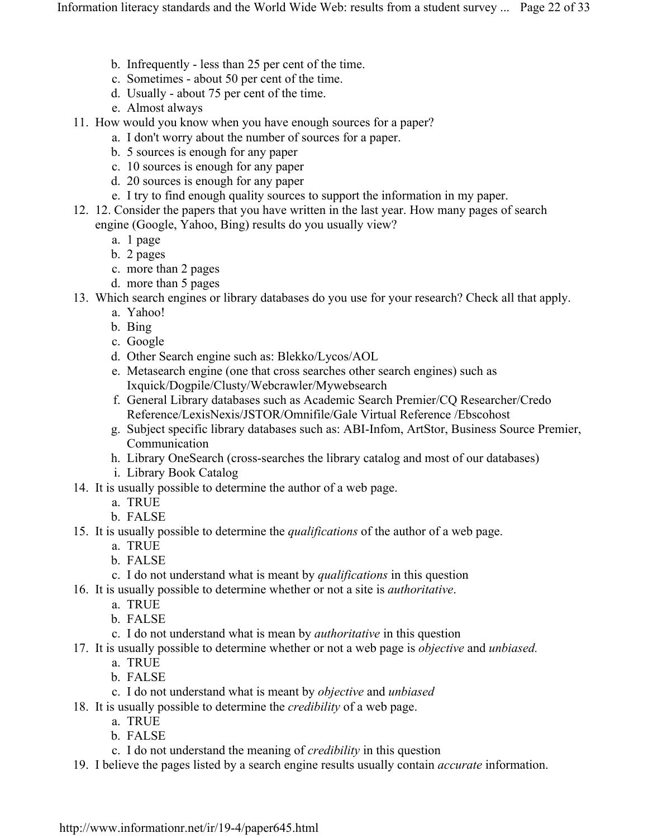- b. Infrequently less than 25 per cent of the time.
- c. Sometimes about 50 per cent of the time.
- d. Usually about 75 per cent of the time.
- e. Almost always
- 11. How would you know when you have enough sources for a paper?
	- a. I don't worry about the number of sources for a paper.
	- b. 5 sources is enough for any paper
	- c. 10 sources is enough for any paper
	- d. 20 sources is enough for any paper
	- e. I try to find enough quality sources to support the information in my paper.
- 12. 12. Consider the papers that you have written in the last year. How many pages of search engine (Google, Yahoo, Bing) results do you usually view?
	- a. 1 page
	- b. 2 pages
	- c. more than 2 pages
	- d. more than 5 pages
- 13. Which search engines or library databases do you use for your research? Check all that apply.
	- a. Yahoo!
	- b. Bing
	- c. Google
	- d. Other Search engine such as: Blekko/Lycos/AOL
	- e. Metasearch engine (one that cross searches other search engines) such as Ixquick/Dogpile/Clusty/Webcrawler/Mywebsearch
	- f. General Library databases such as Academic Search Premier/CQ Researcher/Credo Reference/LexisNexis/JSTOR/Omnifile/Gale Virtual Reference /Ebscohost
	- g. Subject specific library databases such as: ABI-Infom, ArtStor, Business Source Premier, Communication
	- h. Library OneSearch (cross-searches the library catalog and most of our databases)
	- i. Library Book Catalog
- 14. It is usually possible to determine the author of a web page.
	- a. TRUE
	- b. FALSE
- 15. It is usually possible to determine the *qualifications* of the author of a web page.
	- a. TRUE
	- b. FALSE
	- c. I do not understand what is meant by *qualifications* in this question
- 16. It is usually possible to determine whether or not a site is *authoritative*.
	- a. TRUE
	- b. FALSE
	- c. I do not understand what is mean by *authoritative* in this question
- 17. It is usually possible to determine whether or not a web page is *objective* and *unbiased.*
	- a. TRUE
	- b. FALSE
	- c. I do not understand what is meant by *objective* and *unbiased*
- 18. It is usually possible to determine the *credibility* of a web page.
	- a. TRUE
	- b. FALSE
	- c. I do not understand the meaning of *credibility* in this question
- 19. I believe the pages listed by a search engine results usually contain *accurate* information.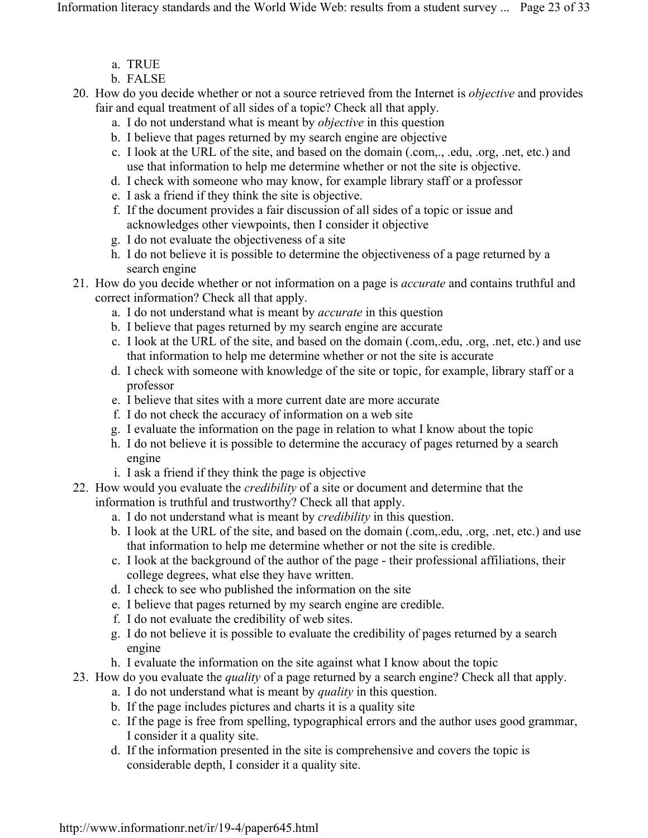- a. TRUE
- b. FALSE
- 20. How do you decide whether or not a source retrieved from the Internet is *objective* and provides fair and equal treatment of all sides of a topic? Check all that apply.
	- a. I do not understand what is meant by *objective* in this question
	- b. I believe that pages returned by my search engine are objective
	- c. I look at the URL of the site, and based on the domain (.com,., .edu, .org, .net, etc.) and use that information to help me determine whether or not the site is objective.
	- d. I check with someone who may know, for example library staff or a professor
	- e. I ask a friend if they think the site is objective.
	- f. If the document provides a fair discussion of all sides of a topic or issue and acknowledges other viewpoints, then I consider it objective
	- g. I do not evaluate the objectiveness of a site
	- h. I do not believe it is possible to determine the objectiveness of a page returned by a search engine
- 21. How do you decide whether or not information on a page is *accurate* and contains truthful and correct information? Check all that apply.
	- a. I do not understand what is meant by *accurate* in this question
	- b. I believe that pages returned by my search engine are accurate
	- c. I look at the URL of the site, and based on the domain (.com,.edu, .org, .net, etc.) and use that information to help me determine whether or not the site is accurate
	- d. I check with someone with knowledge of the site or topic, for example, library staff or a professor
	- e. I believe that sites with a more current date are more accurate
	- f. I do not check the accuracy of information on a web site
	- g. I evaluate the information on the page in relation to what I know about the topic
	- h. I do not believe it is possible to determine the accuracy of pages returned by a search engine
	- i. I ask a friend if they think the page is objective
- 22. How would you evaluate the *credibility* of a site or document and determine that the information is truthful and trustworthy? Check all that apply.
	- a. I do not understand what is meant by *credibility* in this question.
	- b. I look at the URL of the site, and based on the domain (.com,.edu, .org, .net, etc.) and use that information to help me determine whether or not the site is credible.
	- c. I look at the background of the author of the page their professional affiliations, their college degrees, what else they have written.
	- d. I check to see who published the information on the site
	- e. I believe that pages returned by my search engine are credible.
	- f. I do not evaluate the credibility of web sites.
	- g. I do not believe it is possible to evaluate the credibility of pages returned by a search engine
	- h. I evaluate the information on the site against what I know about the topic
- 23. How do you evaluate the *quality* of a page returned by a search engine? Check all that apply.
	- a. I do not understand what is meant by *quality* in this question.
	- b. If the page includes pictures and charts it is a quality site
	- c. If the page is free from spelling, typographical errors and the author uses good grammar, I consider it a quality site.
	- d. If the information presented in the site is comprehensive and covers the topic is considerable depth, I consider it a quality site.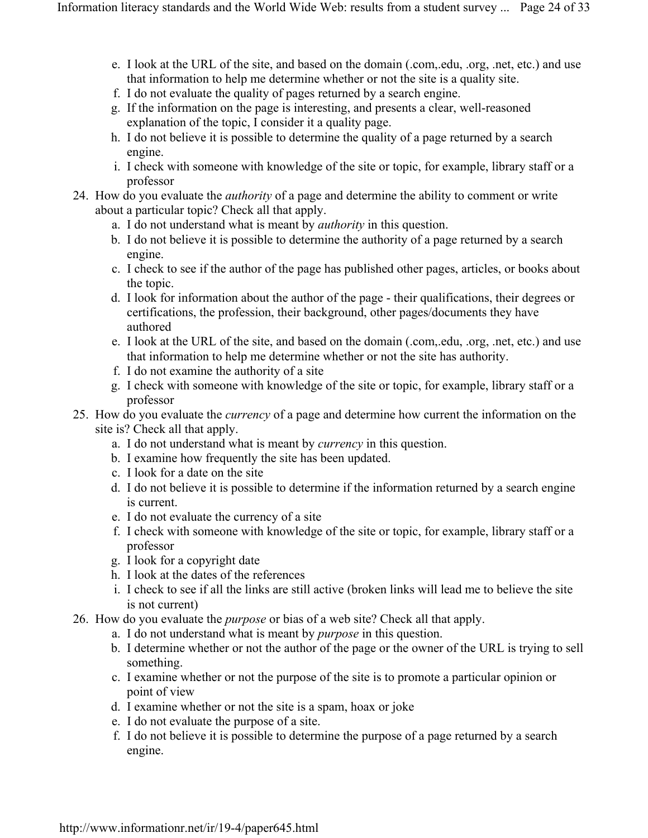- e. I look at the URL of the site, and based on the domain (.com,.edu, .org, .net, etc.) and use that information to help me determine whether or not the site is a quality site.
- f. I do not evaluate the quality of pages returned by a search engine.
- g. If the information on the page is interesting, and presents a clear, well-reasoned explanation of the topic, I consider it a quality page.
- h. I do not believe it is possible to determine the quality of a page returned by a search engine.
- i. I check with someone with knowledge of the site or topic, for example, library staff or a professor
- 24. How do you evaluate the *authority* of a page and determine the ability to comment or write about a particular topic? Check all that apply.
	- a. I do not understand what is meant by *authority* in this question.
	- b. I do not believe it is possible to determine the authority of a page returned by a search engine.
	- c. I check to see if the author of the page has published other pages, articles, or books about the topic.
	- d. I look for information about the author of the page their qualifications, their degrees or certifications, the profession, their background, other pages/documents they have authored
	- e. I look at the URL of the site, and based on the domain (.com,.edu, .org, .net, etc.) and use that information to help me determine whether or not the site has authority.
	- f. I do not examine the authority of a site
	- g. I check with someone with knowledge of the site or topic, for example, library staff or a professor
- 25. How do you evaluate the *currency* of a page and determine how current the information on the site is? Check all that apply.
	- a. I do not understand what is meant by *currency* in this question.
	- b. I examine how frequently the site has been updated.
	- c. I look for a date on the site
	- d. I do not believe it is possible to determine if the information returned by a search engine is current.
	- e. I do not evaluate the currency of a site
	- f. I check with someone with knowledge of the site or topic, for example, library staff or a professor
	- g. I look for a copyright date
	- h. I look at the dates of the references
	- i. I check to see if all the links are still active (broken links will lead me to believe the site is not current)
- 26. How do you evaluate the *purpose* or bias of a web site? Check all that apply.
	- a. I do not understand what is meant by *purpose* in this question.
	- b. I determine whether or not the author of the page or the owner of the URL is trying to sell something.
	- c. I examine whether or not the purpose of the site is to promote a particular opinion or point of view
	- d. I examine whether or not the site is a spam, hoax or joke
	- e. I do not evaluate the purpose of a site.
	- f. I do not believe it is possible to determine the purpose of a page returned by a search engine.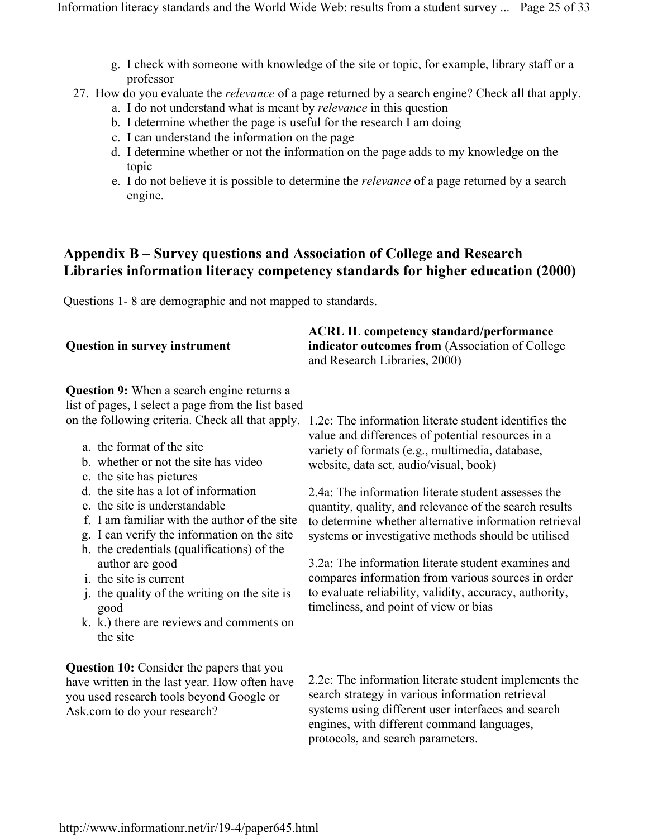- g. I check with someone with knowledge of the site or topic, for example, library staff or a professor
- 27. How do you evaluate the *relevance* of a page returned by a search engine? Check all that apply.
	- a. I do not understand what is meant by *relevance* in this question
	- b. I determine whether the page is useful for the research I am doing
	- c. I can understand the information on the page
	- d. I determine whether or not the information on the page adds to my knowledge on the topic
	- e. I do not believe it is possible to determine the *relevance* of a page returned by a search engine.

#### **Appendix B – Survey questions and Association of College and Research Libraries information literacy competency standards for higher education (2000)**

Questions 1- 8 are demographic and not mapped to standards.

|                                      | <b>ACRL IL competency standard/performance</b>          |
|--------------------------------------|---------------------------------------------------------|
| <b>Question in survey instrument</b> | <b>indicator outcomes from (Association of College)</b> |
|                                      | and Research Libraries, 2000)                           |

**Question 9:** When a search engine returns a list of pages, I select a page from the list based

- a. the format of the site
- b. whether or not the site has video
- c. the site has pictures
- d. the site has a lot of information
- e. the site is understandable
- f. I am familiar with the author of the site
- g. I can verify the information on the site
- h. the credentials (qualifications) of the author are good
- i. the site is current
- j. the quality of the writing on the site is good
- k. k.) there are reviews and comments on the site

**Question 10:** Consider the papers that you have written in the last year. How often have you used research tools beyond Google or Ask.com to do your research?

on the following criteria. Check all that apply. 1.2c: The information literate student identifies the value and differences of potential resources in a variety of formats (e.g., multimedia, database, website, data set, audio/visual, book)

> 2.4a: The information literate student assesses the quantity, quality, and relevance of the search results to determine whether alternative information retrieval systems or investigative methods should be utilised

3.2a: The information literate student examines and compares information from various sources in order to evaluate reliability, validity, accuracy, authority, timeliness, and point of view or bias

2.2e: The information literate student implements the search strategy in various information retrieval systems using different user interfaces and search engines, with different command languages, protocols, and search parameters.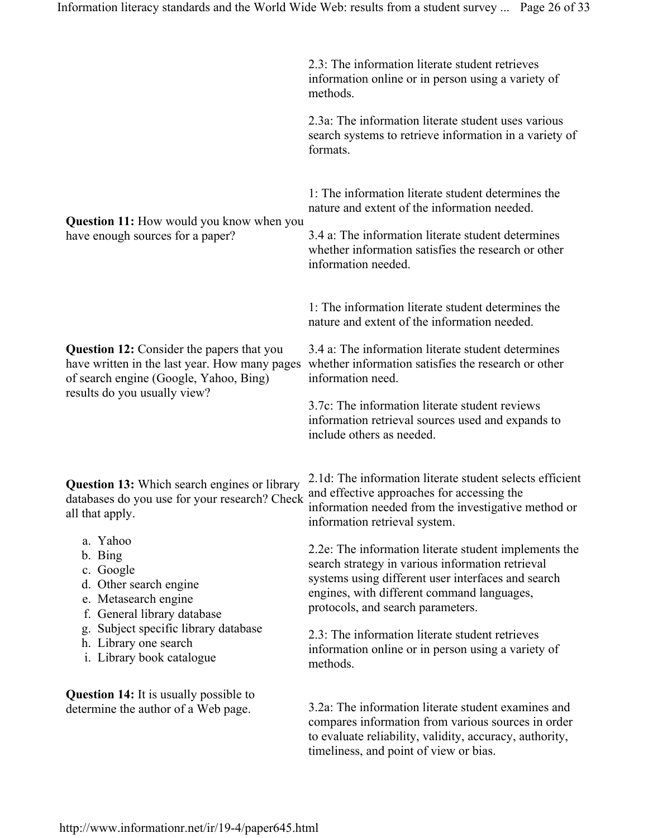|                                                                                                                                                                                                                                                                                                                                               | 2.3: The information literate student retrieves<br>information online or in person using a variety of<br>methods.<br>2.3a: The information literate student uses various<br>search systems to retrieve information in a variety of<br>formats.                                                                                                                                                                                                                                                                                                                            |
|-----------------------------------------------------------------------------------------------------------------------------------------------------------------------------------------------------------------------------------------------------------------------------------------------------------------------------------------------|---------------------------------------------------------------------------------------------------------------------------------------------------------------------------------------------------------------------------------------------------------------------------------------------------------------------------------------------------------------------------------------------------------------------------------------------------------------------------------------------------------------------------------------------------------------------------|
| <b>Question 11:</b> How would you know when you<br>have enough sources for a paper?                                                                                                                                                                                                                                                           | 1: The information literate student determines the<br>nature and extent of the information needed.<br>3.4 a: The information literate student determines<br>whether information satisfies the research or other<br>information needed.                                                                                                                                                                                                                                                                                                                                    |
| <b>Question 12:</b> Consider the papers that you<br>have written in the last year. How many pages<br>of search engine (Google, Yahoo, Bing)<br>results do you usually view?                                                                                                                                                                   | 1: The information literate student determines the<br>nature and extent of the information needed.<br>3.4 a: The information literate student determines<br>whether information satisfies the research or other<br>information need.<br>3.7c: The information literate student reviews<br>information retrieval sources used and expands to<br>include others as needed.                                                                                                                                                                                                  |
| <b>Question 13:</b> Which search engines or library<br>databases do you use for your research? Check<br>all that apply.<br>a. Yahoo<br>b. Bing<br>c. Google<br>d. Other search engine<br>e. Metasearch engine<br>f. General library database<br>Subject specific library database<br>g.<br>h. Library one search<br>i. Library book catalogue | 2.1d: The information literate student selects efficient<br>and effective approaches for accessing the<br>information needed from the investigative method or<br>information retrieval system.<br>2.2e: The information literate student implements the<br>search strategy in various information retrieval<br>systems using different user interfaces and search<br>engines, with different command languages,<br>protocols, and search parameters.<br>2.3: The information literate student retrieves<br>information online or in person using a variety of<br>methods. |
| <b>Question 14:</b> It is usually possible to<br>determine the author of a Web page.                                                                                                                                                                                                                                                          | 3.2a: The information literate student examines and<br>compares information from various sources in order<br>to evaluate reliability, validity, accuracy, authority,<br>timeliness, and point of view or bias.                                                                                                                                                                                                                                                                                                                                                            |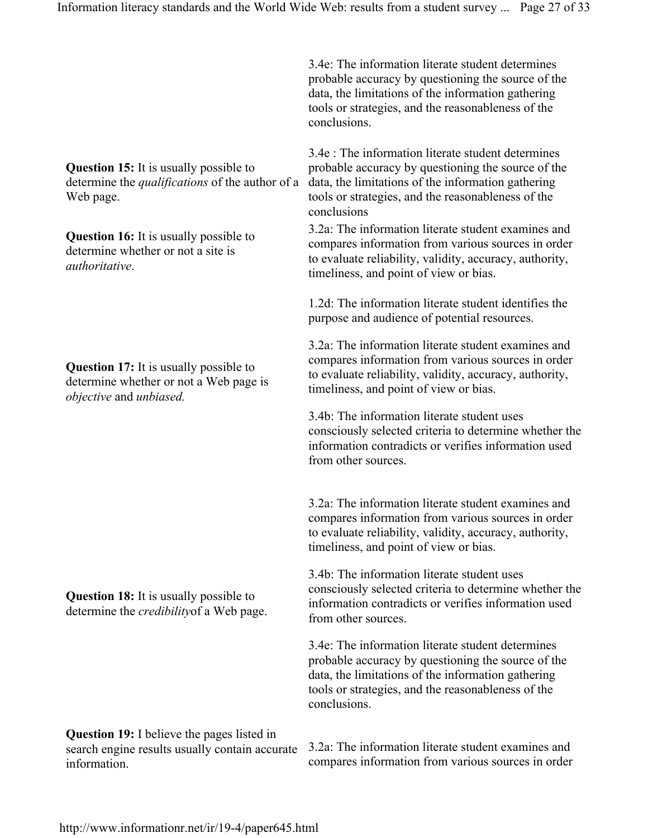**Question 15:** It is usually possible to determine the *qualifications* of the author of a Web page.

**Question 16:** It is usually possible to determine whether or not a site is *authoritative*.

**Question 17:** It is usually possible to determine whether or not a Web page is *objective* and *unbiased.*

**Question 18:** It is usually possible to determine the *credibility*of a Web page.

**Question 19:** I believe the pages listed in search engine results usually contain accurate information.

3.4e: The information literate student determines probable accuracy by questioning the source of the data, the limitations of the information gathering tools or strategies, and the reasonableness of the conclusions.

3.4e : The information literate student determines probable accuracy by questioning the source of the data, the limitations of the information gathering tools or strategies, and the reasonableness of the conclusions

3.2a: The information literate student examines and compares information from various sources in order to evaluate reliability, validity, accuracy, authority, timeliness, and point of view or bias.

1.2d: The information literate student identifies the purpose and audience of potential resources.

3.2a: The information literate student examines and compares information from various sources in order to evaluate reliability, validity, accuracy, authority, timeliness, and point of view or bias.

3.4b: The information literate student uses consciously selected criteria to determine whether the information contradicts or verifies information used from other sources.

3.2a: The information literate student examines and compares information from various sources in order to evaluate reliability, validity, accuracy, authority, timeliness, and point of view or bias.

3.4b: The information literate student uses consciously selected criteria to determine whether the information contradicts or verifies information used from other sources.

3.4e: The information literate student determines probable accuracy by questioning the source of the data, the limitations of the information gathering tools or strategies, and the reasonableness of the conclusions.

3.2a: The information literate student examines and compares information from various sources in order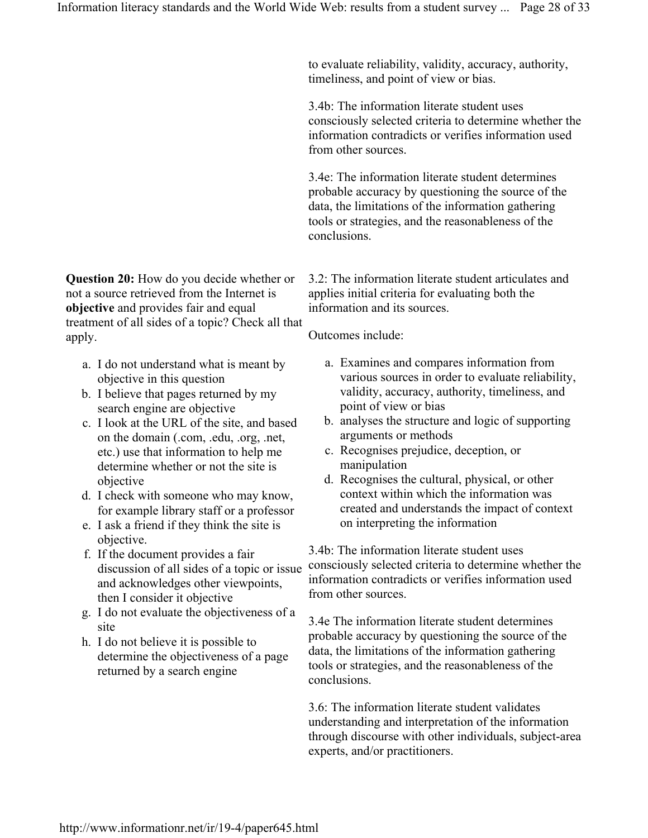to evaluate reliability, validity, accuracy, authority, timeliness, and point of view or bias.

3.4b: The information literate student uses consciously selected criteria to determine whether the information contradicts or verifies information used from other sources.

3.4e: The information literate student determines probable accuracy by questioning the source of the data, the limitations of the information gathering tools or strategies, and the reasonableness of the conclusions.

**Question 20:** How do you decide whether or not a source retrieved from the Internet is **objective** and provides fair and equal treatment of all sides of a topic? Check all that apply.

- a. I do not understand what is meant by objective in this question
- b. I believe that pages returned by my search engine are objective
- c. I look at the URL of the site, and based on the domain (.com, .edu, .org, .net, etc.) use that information to help me determine whether or not the site is objective
- d. I check with someone who may know, for example library staff or a professor
- e. I ask a friend if they think the site is objective.
- f. If the document provides a fair discussion of all sides of a topic or issue and acknowledges other viewpoints, then I consider it objective
- g. I do not evaluate the objectiveness of a site
- h. I do not believe it is possible to determine the objectiveness of a page returned by a search engine

3.2: The information literate student articulates and applies initial criteria for evaluating both the information and its sources.

Outcomes include:

- a. Examines and compares information from various sources in order to evaluate reliability, validity, accuracy, authority, timeliness, and point of view or bias
- b. analyses the structure and logic of supporting arguments or methods
- c. Recognises prejudice, deception, or manipulation
- d. Recognises the cultural, physical, or other context within which the information was created and understands the impact of context on interpreting the information

3.4b: The information literate student uses consciously selected criteria to determine whether the information contradicts or verifies information used from other sources.

3.4e The information literate student determines probable accuracy by questioning the source of the data, the limitations of the information gathering tools or strategies, and the reasonableness of the conclusions.

3.6: The information literate student validates understanding and interpretation of the information through discourse with other individuals, subject-area experts, and/or practitioners.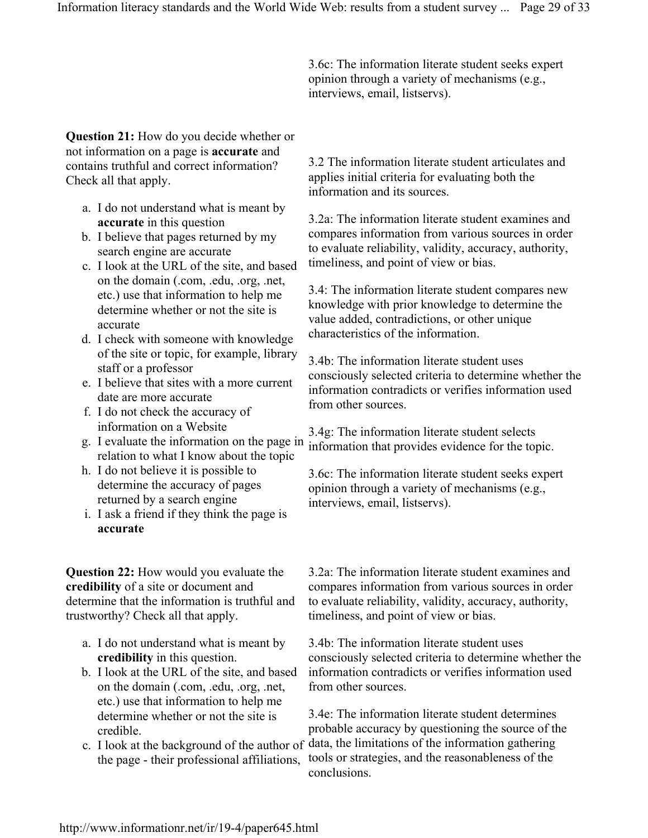3.6c: The information literate student seeks expert opinion through a variety of mechanisms (e.g., interviews, email, listservs).

**Question 21:** How do you decide whether or not information on a page is **accurate** and contains truthful and correct information? Check all that apply.

- a. I do not understand what is meant by **accurate** in this question
- b. I believe that pages returned by my search engine are accurate
- c. I look at the URL of the site, and based on the domain (.com, .edu, .org, .net, etc.) use that information to help me determine whether or not the site is accurate
- d. I check with someone with knowledge of the site or topic, for example, library staff or a professor
- e. I believe that sites with a more current date are more accurate
- f. I do not check the accuracy of information on a Website
- g. I evaluate the information on the page in relation to what I know about the topic
- h. I do not believe it is possible to determine the accuracy of pages returned by a search engine
- i. I ask a friend if they think the page is **accurate**

**Question 22:** How would you evaluate the **credibility** of a site or document and determine that the information is truthful and trustworthy? Check all that apply.

- a. I do not understand what is meant by **credibility** in this question.
- b. I look at the URL of the site, and based on the domain (.com, .edu, .org, .net, etc.) use that information to help me determine whether or not the site is credible.
- the page their professional affiliations,

3.2 The information literate student articulates and applies initial criteria for evaluating both the information and its sources.

3.2a: The information literate student examines and compares information from various sources in order to evaluate reliability, validity, accuracy, authority, timeliness, and point of view or bias.

3.4: The information literate student compares new knowledge with prior knowledge to determine the value added, contradictions, or other unique characteristics of the information.

3.4b: The information literate student uses consciously selected criteria to determine whether the information contradicts or verifies information used from other sources.

3.4g: The information literate student selects information that provides evidence for the topic.

3.6c: The information literate student seeks expert opinion through a variety of mechanisms (e.g., interviews, email, listservs).

3.2a: The information literate student examines and compares information from various sources in order to evaluate reliability, validity, accuracy, authority, timeliness, and point of view or bias.

3.4b: The information literate student uses consciously selected criteria to determine whether the information contradicts or verifies information used from other sources.

c. I look at the background of the author of data, the limitations of the information gathering 3.4e: The information literate student determines probable accuracy by questioning the source of the tools or strategies, and the reasonableness of the conclusions.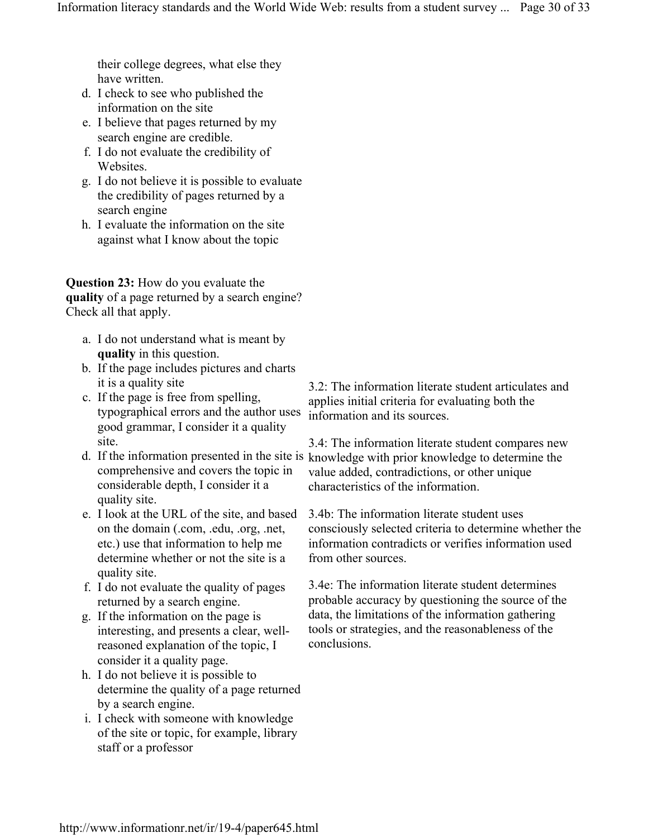their college degrees, what else they have written.

- d. I check to see who published the information on the site
- e. I believe that pages returned by my search engine are credible.
- f. I do not evaluate the credibility of Websites.
- g. I do not believe it is possible to evaluate the credibility of pages returned by a search engine
- h. I evaluate the information on the site against what I know about the topic

**Question 23:** How do you evaluate the **quality** of a page returned by a search engine? Check all that apply.

- a. I do not understand what is meant by **quality** in this question.
- b. If the page includes pictures and charts it is a quality site
- c. If the page is free from spelling, typographical errors and the author uses good grammar, I consider it a quality site.
- comprehensive and covers the topic in considerable depth, I consider it a quality site.
- e. I look at the URL of the site, and based on the domain (.com, .edu, .org, .net, etc.) use that information to help me determine whether or not the site is a quality site.
- f. I do not evaluate the quality of pages returned by a search engine.
- g. If the information on the page is interesting, and presents a clear, wellreasoned explanation of the topic, I consider it a quality page.
- h. I do not believe it is possible to determine the quality of a page returned by a search engine.
- i. I check with someone with knowledge of the site or topic, for example, library staff or a professor

3.2: The information literate student articulates and applies initial criteria for evaluating both the information and its sources.

d. If the information presented in the site is knowledge with prior knowledge to determine the 3.4: The information literate student compares new value added, contradictions, or other unique characteristics of the information.

> 3.4b: The information literate student uses consciously selected criteria to determine whether the information contradicts or verifies information used from other sources.

3.4e: The information literate student determines probable accuracy by questioning the source of the data, the limitations of the information gathering tools or strategies, and the reasonableness of the conclusions.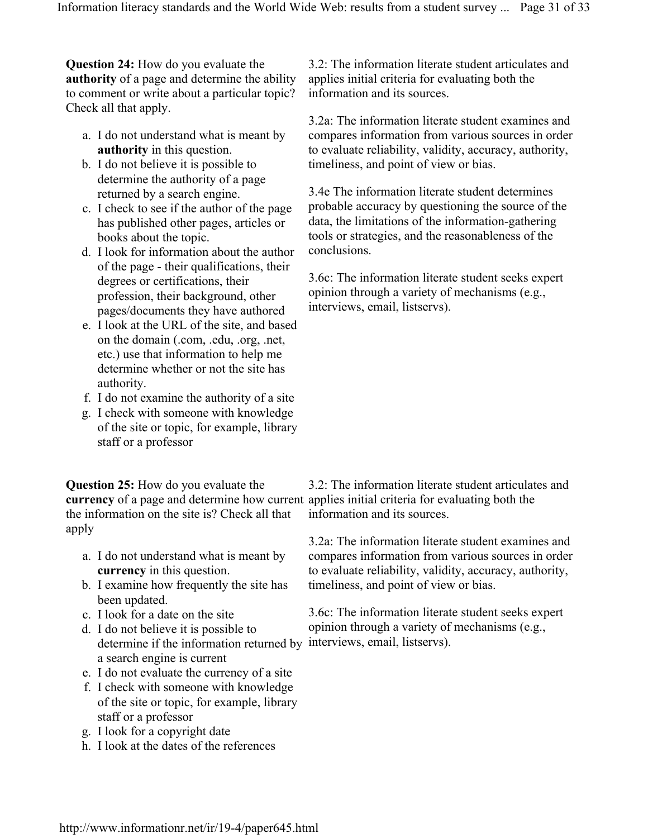**Question 24:** How do you evaluate the **authority** of a page and determine the ability to comment or write about a particular topic? Check all that apply.

- a. I do not understand what is meant by **authority** in this question.
- b. I do not believe it is possible to determine the authority of a page returned by a search engine.
- c. I check to see if the author of the page has published other pages, articles or books about the topic.
- d. I look for information about the author of the page - their qualifications, their degrees or certifications, their profession, their background, other pages/documents they have authored
- e. I look at the URL of the site, and based on the domain (.com, .edu, .org, .net, etc.) use that information to help me determine whether or not the site has authority.
- f. I do not examine the authority of a site
- g. I check with someone with knowledge of the site or topic, for example, library staff or a professor

**Question 25:** How do you evaluate the **currency** of a page and determine how current applies initial criteria for evaluating both the the information on the site is? Check all that apply

- a. I do not understand what is meant by **currency** in this question.
- b. I examine how frequently the site has been updated.
- c. I look for a date on the site
- d. I do not believe it is possible to determine if the information returned by interviews, email, listservs). a search engine is current
- e. I do not evaluate the currency of a site
- f. I check with someone with knowledge of the site or topic, for example, library staff or a professor
- g. I look for a copyright date
- h. I look at the dates of the references

3.2: The information literate student articulates and applies initial criteria for evaluating both the information and its sources.

3.2a: The information literate student examines and compares information from various sources in order to evaluate reliability, validity, accuracy, authority, timeliness, and point of view or bias.

3.4e The information literate student determines probable accuracy by questioning the source of the data, the limitations of the information-gathering tools or strategies, and the reasonableness of the conclusions.

3.6c: The information literate student seeks expert opinion through a variety of mechanisms (e.g., interviews, email, listservs).

3.2: The information literate student articulates and information and its sources.

3.2a: The information literate student examines and compares information from various sources in order to evaluate reliability, validity, accuracy, authority, timeliness, and point of view or bias.

3.6c: The information literate student seeks expert opinion through a variety of mechanisms (e.g.,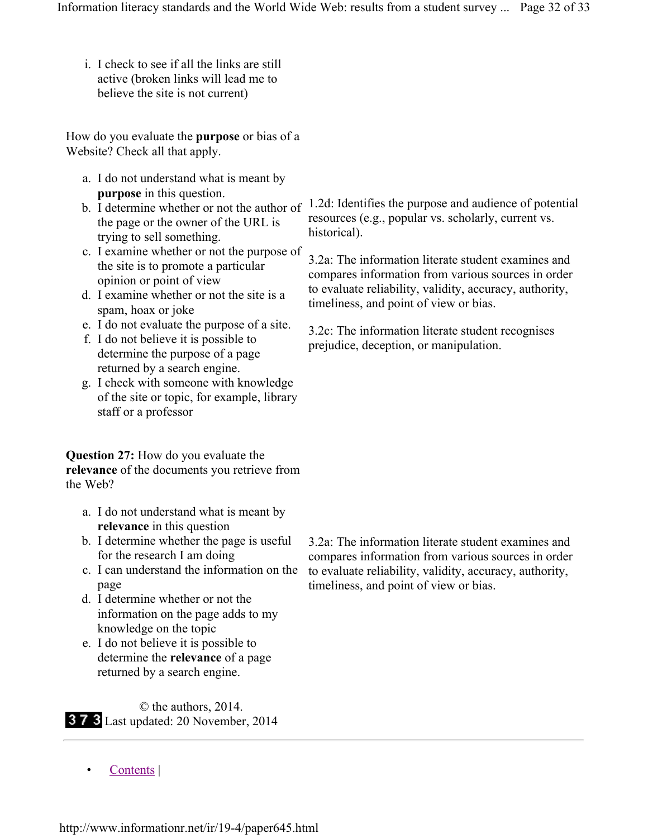i. I check to see if all the links are still active (broken links will lead me to believe the site is not current)

How do you evaluate the **purpose** or bias of a Website? Check all that apply.

- a. I do not understand what is meant by **purpose** in this question.
- the page or the owner of the URL is trying to sell something.
- c. I examine whether or not the purpose of the site is to promote a particular opinion or point of view
- d. I examine whether or not the site is a spam, hoax or joke
- e. I do not evaluate the purpose of a site.
- f. I do not believe it is possible to determine the purpose of a page returned by a search engine.
- g. I check with someone with knowledge of the site or topic, for example, library staff or a professor

**Question 27:** How do you evaluate the **relevance** of the documents you retrieve from the Web?

- a. I do not understand what is meant by **relevance** in this question
- b. I determine whether the page is useful for the research I am doing
- c. I can understand the information on the page
- d. I determine whether or not the information on the page adds to my knowledge on the topic
- e. I do not believe it is possible to determine the **relevance** of a page returned by a search engine.

© the authors, 2014. 373 Last updated: 20 November, 2014

b. I determine whether or not the author of <sup>1.2d:</sup> Identifies the purpose and audience of potential resources (e.g., popular vs. scholarly, current vs. historical).

> 3.2a: The information literate student examines and compares information from various sources in order to evaluate reliability, validity, accuracy, authority, timeliness, and point of view or bias.

3.2c: The information literate student recognises prejudice, deception, or manipulation.

3.2a: The information literate student examines and compares information from various sources in order to evaluate reliability, validity, accuracy, authority, timeliness, and point of view or bias.

Contents |